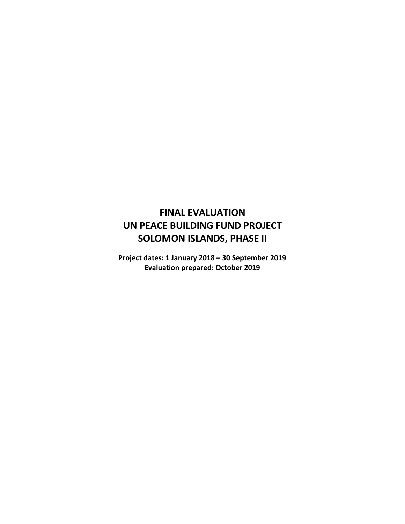# **FINAL EVALUATION UN PEACE BUILDING FUND PROJECT SOLOMON ISLANDS, PHASE II**

**Project dates: 1 January 2018 – 30 September 2019 Evaluation prepared: October 2019**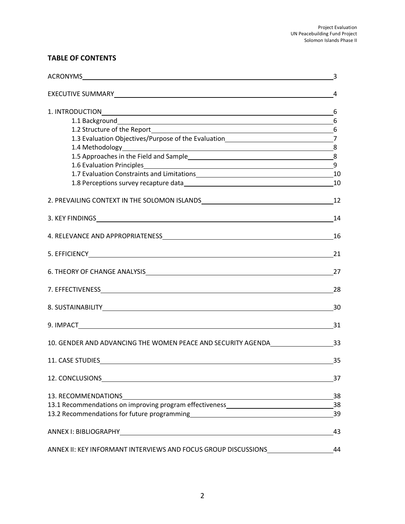# **TABLE OF CONTENTS**

|                                                                                                                                                                                                                                | 3  |
|--------------------------------------------------------------------------------------------------------------------------------------------------------------------------------------------------------------------------------|----|
|                                                                                                                                                                                                                                | 4  |
| 1. INTRODUCTION 6                                                                                                                                                                                                              |    |
|                                                                                                                                                                                                                                |    |
|                                                                                                                                                                                                                                |    |
| 1.3 Evaluation Objectives/Purpose of the Evaluation______________________________7                                                                                                                                             |    |
|                                                                                                                                                                                                                                |    |
|                                                                                                                                                                                                                                |    |
|                                                                                                                                                                                                                                |    |
| 1.7 Evaluation Constraints and Limitations<br>10                                                                                                                                                                               |    |
|                                                                                                                                                                                                                                |    |
|                                                                                                                                                                                                                                | 12 |
|                                                                                                                                                                                                                                | 14 |
|                                                                                                                                                                                                                                | 16 |
|                                                                                                                                                                                                                                | 21 |
|                                                                                                                                                                                                                                | 27 |
|                                                                                                                                                                                                                                | 28 |
|                                                                                                                                                                                                                                |    |
|                                                                                                                                                                                                                                | 31 |
| 10. GENDER AND ADVANCING THE WOMEN PEACE AND SECURITY AGENDA 33                                                                                                                                                                |    |
|                                                                                                                                                                                                                                |    |
| 12. CONCLUSIONS <b>Example 2006</b>                                                                                                                                                                                            | 37 |
| 13. RECOMMENDATIONS<br><u> 1989 - Johann Barnett, fransk politik (f. 1989)</u>                                                                                                                                                 | 38 |
| 13.1 Recommendations on improving program effectiveness_________________________                                                                                                                                               | 38 |
| 13.2 Recommendations for future programming Theorem and the control of the control of the control of the control of the control of the control of the control of the control of the control of the control of the control of t | 39 |
|                                                                                                                                                                                                                                | 43 |
| ANNEX II: KEY INFORMANT INTERVIEWS AND FOCUS GROUP DISCUSSIONS                                                                                                                                                                 | 44 |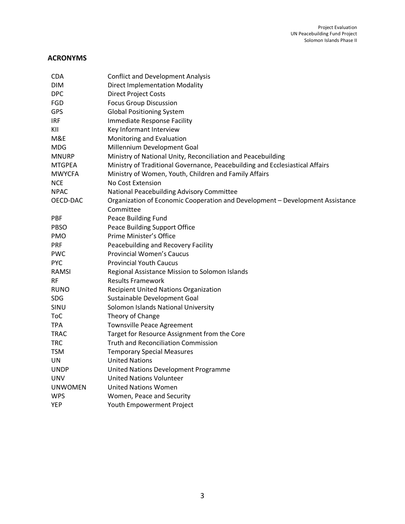# **ACRONYMS**

| CDA            | <b>Conflict and Development Analysis</b>                                      |
|----------------|-------------------------------------------------------------------------------|
| <b>DIM</b>     | <b>Direct Implementation Modality</b>                                         |
| <b>DPC</b>     | <b>Direct Project Costs</b>                                                   |
| FGD            | <b>Focus Group Discussion</b>                                                 |
| <b>GPS</b>     | <b>Global Positioning System</b>                                              |
| <b>IRF</b>     | Immediate Response Facility                                                   |
| KII            | Key Informant Interview                                                       |
| M&E            | Monitoring and Evaluation                                                     |
| <b>MDG</b>     | Millennium Development Goal                                                   |
| <b>MNURP</b>   | Ministry of National Unity, Reconciliation and Peacebuilding                  |
| <b>MTGPEA</b>  | Ministry of Traditional Governance, Peacebuilding and Ecclesiastical Affairs  |
| <b>MWYCFA</b>  | Ministry of Women, Youth, Children and Family Affairs                         |
| <b>NCE</b>     | No Cost Extension                                                             |
| <b>NPAC</b>    | National Peacebuilding Advisory Committee                                     |
| OECD-DAC       | Organization of Economic Cooperation and Development - Development Assistance |
|                | Committee                                                                     |
| PBF            | Peace Building Fund                                                           |
| <b>PBSO</b>    | Peace Building Support Office                                                 |
| <b>PMO</b>     | Prime Minister's Office                                                       |
| <b>PRF</b>     | Peacebuilding and Recovery Facility                                           |
| <b>PWC</b>     | <b>Provincial Women's Caucus</b>                                              |
| <b>PYC</b>     | <b>Provincial Youth Caucus</b>                                                |
| <b>RAMSI</b>   | Regional Assistance Mission to Solomon Islands                                |
| RF             | <b>Results Framework</b>                                                      |
| <b>RUNO</b>    | <b>Recipient United Nations Organization</b>                                  |
| SDG            | Sustainable Development Goal                                                  |
| SINU           | Solomon Islands National University                                           |
| <b>ToC</b>     | Theory of Change                                                              |
| <b>TPA</b>     | Townsville Peace Agreement                                                    |
| <b>TRAC</b>    | Target for Resource Assignment from the Core                                  |
| <b>TRC</b>     | <b>Truth and Reconciliation Commission</b>                                    |
| TSM            | <b>Temporary Special Measures</b>                                             |
| UN             | <b>United Nations</b>                                                         |
| <b>UNDP</b>    | United Nations Development Programme                                          |
| UNV            | <b>United Nations Volunteer</b>                                               |
| <b>UNWOMEN</b> | <b>United Nations Women</b>                                                   |
| <b>WPS</b>     | Women, Peace and Security                                                     |
| <b>YEP</b>     | Youth Empowerment Project                                                     |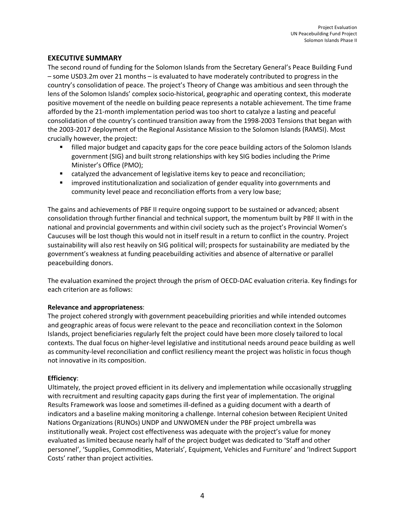## **EXECUTIVE SUMMARY**

The second round of funding for the Solomon Islands from the Secretary General's Peace Building Fund – some USD3.2m over 21 months – is evaluated to have moderately contributed to progress in the country's consolidation of peace. The project's Theory of Change was ambitious and seen through the lens of the Solomon Islands' complex socio-historical, geographic and operating context, this moderate positive movement of the needle on building peace represents a notable achievement. The time frame afforded by the 21-month implementation period was too short to catalyze a lasting and peaceful consolidation of the country's continued transition away from the 1998-2003 Tensions that began with the 2003-2017 deployment of the Regional Assistance Mission to the Solomon Islands (RAMSI). Most crucially however, the project:

- **•** filled major budget and capacity gaps for the core peace building actors of the Solomon Islands government (SIG) and built strong relationships with key SIG bodies including the Prime Minister's Office (PMO);
- catalyzed the advancement of legislative items key to peace and reconciliation;
- improved institutionalization and socialization of gender equality into governments and community level peace and reconciliation efforts from a very low base;

The gains and achievements of PBF II require ongoing support to be sustained or advanced; absent consolidation through further financial and technical support, the momentum built by PBF II with in the national and provincial governments and within civil society such as the project's Provincial Women's Caucuses will be lost though this would not in itself result in a return to conflict in the country. Project sustainability will also rest heavily on SIG political will; prospects for sustainability are mediated by the government's weakness at funding peacebuilding activities and absence of alternative or parallel peacebuilding donors.

The evaluation examined the project through the prism of OECD-DAC evaluation criteria. Key findings for each criterion are as follows:

#### **Relevance and appropriateness**:

The project cohered strongly with government peacebuilding priorities and while intended outcomes and geographic areas of focus were relevant to the peace and reconciliation context in the Solomon Islands, project beneficiaries regularly felt the project could have been more closely tailored to local contexts. The dual focus on higher-level legislative and institutional needs around peace building as well as community-level reconciliation and conflict resiliency meant the project was holistic in focus though not innovative in its composition.

#### **Efficiency**:

Ultimately, the project proved efficient in its delivery and implementation while occasionally struggling with recruitment and resulting capacity gaps during the first year of implementation. The original Results Framework was loose and sometimes ill-defined as a guiding document with a dearth of indicators and a baseline making monitoring a challenge. Internal cohesion between Recipient United Nations Organizations (RUNOs) UNDP and UNWOMEN under the PBF project umbrella was institutionally weak. Project cost effectiveness was adequate with the project's value for money evaluated as limited because nearly half of the project budget was dedicated to 'Staff and other personnel', 'Supplies, Commodities, Materials', Equipment, Vehicles and Furniture' and 'Indirect Support Costs' rather than project activities.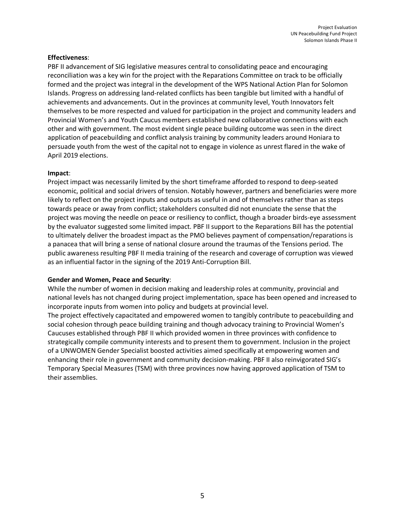#### **Effectiveness**:

PBF II advancement of SIG legislative measures central to consolidating peace and encouraging reconciliation was a key win for the project with the Reparations Committee on track to be officially formed and the project was integral in the development of the WPS National Action Plan for Solomon Islands. Progress on addressing land-related conflicts has been tangible but limited with a handful of achievements and advancements. Out in the provinces at community level, Youth Innovators felt themselves to be more respected and valued for participation in the project and community leaders and Provincial Women's and Youth Caucus members established new collaborative connections with each other and with government. The most evident single peace building outcome was seen in the direct application of peacebuilding and conflict analysis training by community leaders around Honiara to persuade youth from the west of the capital not to engage in violence as unrest flared in the wake of April 2019 elections.

#### **Impact**:

Project impact was necessarily limited by the short timeframe afforded to respond to deep-seated economic, political and social drivers of tension. Notably however, partners and beneficiaries were more likely to reflect on the project inputs and outputs as useful in and of themselves rather than as steps towards peace or away from conflict; stakeholders consulted did not enunciate the sense that the project was moving the needle on peace or resiliency to conflict, though a broader birds-eye assessment by the evaluator suggested some limited impact. PBF II support to the Reparations Bill has the potential to ultimately deliver the broadest impact as the PMO believes payment of compensation/reparations is a panacea that will bring a sense of national closure around the traumas of the Tensions period. The public awareness resulting PBF II media training of the research and coverage of corruption was viewed as an influential factor in the signing of the 2019 Anti-Corruption Bill.

#### **Gender and Women, Peace and Security**:

While the number of women in decision making and leadership roles at community, provincial and national levels has not changed during project implementation, space has been opened and increased to incorporate inputs from women into policy and budgets at provincial level.

The project effectively capacitated and empowered women to tangibly contribute to peacebuilding and social cohesion through peace building training and though advocacy training to Provincial Women's Caucuses established through PBF II which provided women in three provinces with confidence to strategically compile community interests and to present them to government. Inclusion in the project of a UNWOMEN Gender Specialist boosted activities aimed specifically at empowering women and enhancing their role in government and community decision-making. PBF II also reinvigorated SIG's Temporary Special Measures (TSM) with three provinces now having approved application of TSM to their assemblies.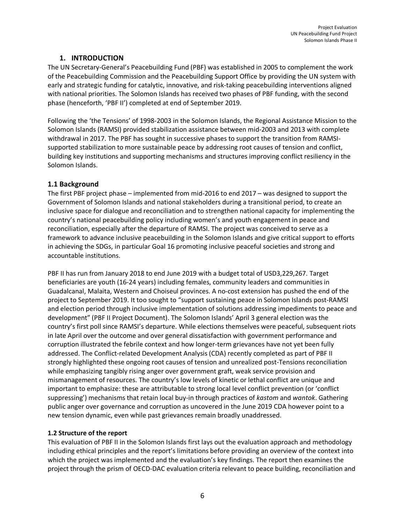# **1. INTRODUCTION**

The UN Secretary-General's Peacebuilding Fund (PBF) was established in 2005 to complement the work of the Peacebuilding Commission and the Peacebuilding Support Office by providing the UN system with early and strategic funding for catalytic, innovative, and risk-taking peacebuilding interventions aligned with national priorities. The Solomon Islands has received two phases of PBF funding, with the second phase (henceforth, 'PBF II') completed at end of September 2019.

Following the 'the Tensions' of 1998-2003 in the Solomon Islands, the Regional Assistance Mission to the Solomon Islands (RAMSI) provided stabilization assistance between mid-2003 and 2013 with complete withdrawal in 2017. The PBF has sought in successive phases to support the transition from RAMSIsupported stabilization to more sustainable peace by addressing root causes of tension and conflict, building key institutions and supporting mechanisms and structures improving conflict resiliency in the Solomon Islands.

## **1.1 Background**

The first PBF project phase – implemented from mid-2016 to end 2017 – was designed to support the Government of Solomon Islands and national stakeholders during a transitional period, to create an inclusive space for dialogue and reconciliation and to strengthen national capacity for implementing the country's national peacebuilding policy including women's and youth engagement in peace and reconciliation, especially after the departure of RAMSI. The project was conceived to serve as a framework to advance inclusive peacebuilding in the Solomon Islands and give critical support to efforts in achieving the SDGs, in particular Goal 16 promoting inclusive peaceful societies and strong and accountable institutions.

PBF II has run from January 2018 to end June 2019 with a budget total of USD3,229,267. Target beneficiaries are youth (16-24 years) including females, community leaders and communities in Guadalcanal, Malaita, Western and Choiseul provinces. A no-cost extension has pushed the end of the project to September 2019. It too sought to "support sustaining peace in Solomon Islands post-RAMSI and election period through inclusive implementation of solutions addressing impediments to peace and development" (PBF II Project Document). The Solomon Islands' April 3 general election was the country's first poll since RAMSI's departure. While elections themselves were peaceful, subsequent riots in late April over the outcome and over general dissatisfaction with government performance and corruption illustrated the febrile context and how longer-term grievances have not yet been fully addressed. The Conflict-related Development Analysis (CDA) recently completed as part of PBF II strongly highlighted these ongoing root causes of tension and unrealized post-Tensions reconciliation while emphasizing tangibly rising anger over government graft, weak service provision and mismanagement of resources. The country's low levels of kinetic or lethal conflict are unique and important to emphasize: these are attributable to strong local level conflict prevention (or 'conflict suppressing') mechanisms that retain local buy-in through practices of *kastom* and *wantok*. Gathering public anger over governance and corruption as uncovered in the June 2019 CDA however point to a new tension dynamic, even while past grievances remain broadly unaddressed.

## **1.2 Structure of the report**

This evaluation of PBF II in the Solomon Islands first lays out the evaluation approach and methodology including ethical principles and the report's limitations before providing an overview of the context into which the project was implemented and the evaluation's key findings. The report then examines the project through the prism of OECD-DAC evaluation criteria relevant to peace building, reconciliation and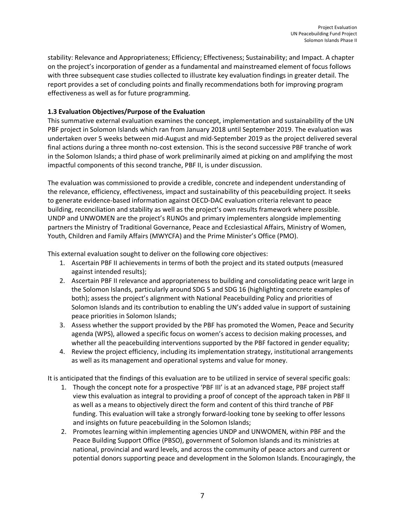stability: Relevance and Appropriateness; Efficiency; Effectiveness; Sustainability; and Impact. A chapter on the project's incorporation of gender as a fundamental and mainstreamed element of focus follows with three subsequent case studies collected to illustrate key evaluation findings in greater detail. The report provides a set of concluding points and finally recommendations both for improving program effectiveness as well as for future programming.

## **1.3 Evaluation Objectives/Purpose of the Evaluation**

This summative external evaluation examines the concept, implementation and sustainability of the UN PBF project in Solomon Islands which ran from January 2018 until September 2019. The evaluation was undertaken over 5 weeks between mid-August and mid-September 2019 as the project delivered several final actions during a three month no-cost extension. This is the second successive PBF tranche of work in the Solomon Islands; a third phase of work preliminarily aimed at picking on and amplifying the most impactful components of this second tranche, PBF II, is under discussion.

The evaluation was commissioned to provide a credible, concrete and independent understanding of the relevance, efficiency, effectiveness, impact and sustainability of this peacebuilding project. It seeks to generate evidence-based information against OECD-DAC evaluation criteria relevant to peace building, reconciliation and stability as well as the project's own results framework where possible. UNDP and UNWOMEN are the project's RUNOs and primary implementers alongside implementing partners the Ministry of Traditional Governance, Peace and Ecclesiastical Affairs, Ministry of Women, Youth, Children and Family Affairs (MWYCFA) and the Prime Minister's Office (PMO).

This external evaluation sought to deliver on the following core objectives:

- 1. Ascertain PBF II achievements in terms of both the project and its stated outputs (measured against intended results);
- 2. Ascertain PBF II relevance and appropriateness to building and consolidating peace writ large in the Solomon Islands, particularly around SDG 5 and SDG 16 (highlighting concrete examples of both); assess the project's alignment with National Peacebuilding Policy and priorities of Solomon Islands and its contribution to enabling the UN's added value in support of sustaining peace priorities in Solomon Islands;
- 3. Assess whether the support provided by the PBF has promoted the Women, Peace and Security agenda (WPS), allowed a specific focus on women's access to decision making processes, and whether all the peacebuilding interventions supported by the PBF factored in gender equality;
- 4. Review the project efficiency, including its implementation strategy, institutional arrangements as well as its management and operational systems and value for money.

It is anticipated that the findings of this evaluation are to be utilized in service of several specific goals:

- 1. Though the concept note for a prospective 'PBF III' is at an advanced stage, PBF project staff view this evaluation as integral to providing a proof of concept of the approach taken in PBF II as well as a means to objectively direct the form and content of this third tranche of PBF funding. This evaluation will take a strongly forward-looking tone by seeking to offer lessons and insights on future peacebuilding in the Solomon Islands;
- 2. Promotes learning within implementing agencies UNDP and UNWOMEN, within PBF and the Peace Building Support Office (PBSO), government of Solomon Islands and its ministries at national, provincial and ward levels, and across the community of peace actors and current or potential donors supporting peace and development in the Solomon Islands. Encouragingly, the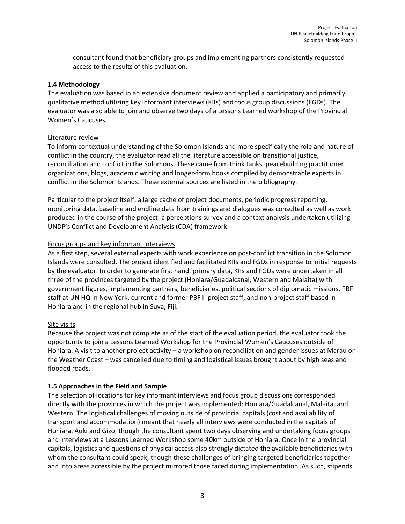consultant found that beneficiary groups and implementing partners consistently requested access to the results of this evaluation.

#### **1.4 Methodology**

The evaluation was based in an extensive document review and applied a participatory and primarily qualitative method utilizing key informant interviews (KIIs) and focus group discussions (FGDs). The evaluator was also able to join and observe two days of a Lessons Learned workshop of the Provincial Women's Caucuses.

#### Literature review

To inform contextual understanding of the Solomon Islands and more specifically the role and nature of conflict in the country, the evaluator read all the literature accessible on transitional justice, reconciliation and conflict in the Solomons. These came from think tanks, peacebuilding practitioner organizations, blogs, academic writing and longer-form books compiled by demonstrable experts in conflict in the Solomon Islands. These external sources are listed in the bibliography.

Particular to the project itself, a large cache of project documents, periodic progress reporting, monitoring data, baseline and endline data from trainings and dialogues was consulted as well as work produced in the course of the project: a perceptions survey and a context analysis undertaken utilizing UNDP's Conflict and Development Analysis (CDA) framework.

#### Focus groups and key informant interviews

As a first step, several external experts with work experience on post-conflict transition in the Solomon Islands were consulted. The project identified and facilitated KIIs and FGDs in response to initial requests by the evaluator. In order to generate first hand, primary data, KIIs and FGDs were undertaken in all three of the provinces targeted by the project (Honiara/Guadalcanal, Western and Malaita) with government figures, implementing partners, beneficiaries, political sections of diplomatic missions, PBF staff at UN HQ in New York, current and former PBF II project staff, and non-project staff based in Honiara and in the regional hub in Suva, Fiji.

#### Site visits

Because the project was not complete as of the start of the evaluation period, the evaluator took the opportunity to join a Lessons Learned Workshop for the Provincial Women's Caucuses outside of Honiara. A visit to another project activity – a workshop on reconciliation and gender issues at Marau on the Weather Coast – was cancelled due to timing and logistical issues brought about by high seas and flooded roads.

#### **1.5 Approaches in the Field and Sample**

The selection of locations for key informant interviews and focus group discussions corresponded directly with the provinces in which the project was implemented: Honiara/Guadalcanal, Malaita, and Western. The logistical challenges of moving outside of provincial capitals (cost and availability of transport and accommodation) meant that nearly all interviews were conducted in the capitals of Honiara, Auki and Gizo, though the consultant spent two days observing and undertaking focus groups and interviews at a Lessons Learned Workshop some 40km outside of Honiara. Once in the provincial capitals, logistics and questions of physical access also strongly dictated the available beneficiaries with whom the consultant could speak, though these challenges of bringing targeted beneficiaries together and into areas accessible by the project mirrored those faced during implementation. As such, stipends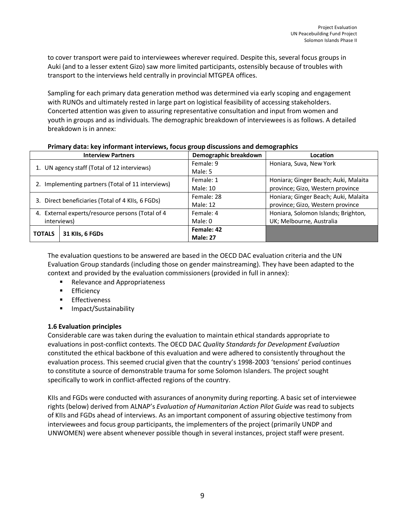to cover transport were paid to interviewees wherever required. Despite this, several focus groups in Auki (and to a lesser extent Gizo) saw more limited participants, ostensibly because of troubles with transport to the interviews held centrally in provincial MTGPEA offices.

Sampling for each primary data generation method was determined via early scoping and engagement with RUNOs and ultimately rested in large part on logistical feasibility of accessing stakeholders. Concerted attention was given to assuring representative consultation and input from women and youth in groups and as individuals. The demographic breakdown of interviewees is as follows. A detailed breakdown is in annex:

|                                                   | <b>Interview Partners</b>                        | Demographic breakdown | <b>Location</b>                      |
|---------------------------------------------------|--------------------------------------------------|-----------------------|--------------------------------------|
| 1. UN agency staff (Total of 12 interviews)       |                                                  | Female: 9             | Honiara, Suva, New York              |
|                                                   |                                                  | Male: 5               |                                      |
| 2. Implementing partners (Total of 11 interviews) |                                                  | Female: 1             | Honiara; Ginger Beach; Auki, Malaita |
|                                                   |                                                  | Male: 10              | province; Gizo, Western province     |
| 3. Direct beneficiaries (Total of 4 KIIs, 6 FGDs) |                                                  | Female: 28            | Honiara; Ginger Beach; Auki, Malaita |
|                                                   |                                                  | Male: 12              | province; Gizo, Western province     |
|                                                   | 4. External experts/resource persons (Total of 4 | Female: 4             | Honiara, Solomon Islands; Brighton,  |
| interviews)                                       |                                                  | Male: 0               | UK; Melbourne, Australia             |
| <b>TOTALS</b>                                     | 31 Klls, 6 FGDs                                  | Female: 42            |                                      |
|                                                   |                                                  | <b>Male: 27</b>       |                                      |

#### **Primary data: key informant interviews, focus group discussions and demographics**

The evaluation questions to be answered are based in the OECD DAC evaluation criteria and the UN Evaluation Group standards (including those on gender mainstreaming). They have been adapted to the context and provided by the evaluation commissioners (provided in full in annex):

- Relevance and Appropriateness
- Efficiency
- § Effectiveness
- Impact/Sustainability

#### **1.6 Evaluation principles**

Considerable care was taken during the evaluation to maintain ethical standards appropriate to evaluations in post-conflict contexts. The OECD DAC *Quality Standards for Development Evaluation* constituted the ethical backbone of this evaluation and were adhered to consistently throughout the evaluation process. This seemed crucial given that the country's 1998-2003 'tensions' period continues to constitute a source of demonstrable trauma for some Solomon Islanders. The project sought specifically to work in conflict-affected regions of the country.

KIIs and FGDs were conducted with assurances of anonymity during reporting. A basic set of interviewee rights (below) derived from ALNAP's *Evaluation of Humanitarian Action Pilot Guide* was read to subjects of KIIs and FGDs ahead of interviews. As an important component of assuring objective testimony from interviewees and focus group participants, the implementers of the project (primarily UNDP and UNWOMEN) were absent whenever possible though in several instances, project staff were present.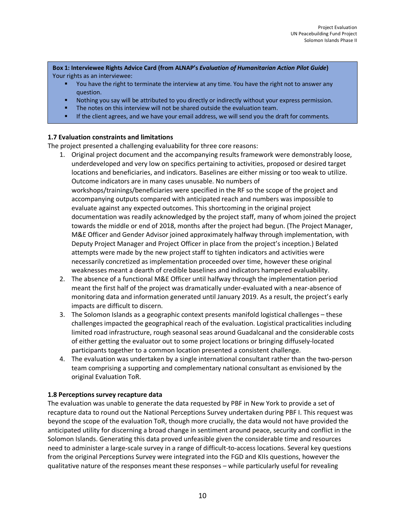**Box 1: Interviewee Rights Advice Card (from ALNAP's** *Evaluation of Humanitarian Action Pilot Guide***)** Your rights as an interviewee:

- You have the right to terminate the interview at any time. You have the right not to answer any question.
- Nothing you say will be attributed to you directly or indirectly without your express permission.
- The notes on this interview will not be shared outside the evaluation team.
- If the client agrees, and we have your email address, we will send you the draft for comments.

#### **1.7 Evaluation constraints and limitations**

The project presented a challenging evaluability for three core reasons:

- 1. Original project document and the accompanying results framework were demonstrably loose, underdeveloped and very low on specifics pertaining to activities, proposed or desired target locations and beneficiaries, and indicators. Baselines are either missing or too weak to utilize. Outcome indicators are in many cases unusable. No numbers of workshops/trainings/beneficiaries were specified in the RF so the scope of the project and accompanying outputs compared with anticipated reach and numbers was impossible to evaluate against any expected outcomes. This shortcoming in the original project documentation was readily acknowledged by the project staff, many of whom joined the project towards the middle or end of 2018, months after the project had begun. (The Project Manager, M&E Officer and Gender Advisor joined approximately halfway through implementation, with Deputy Project Manager and Project Officer in place from the project's inception.) Belated attempts were made by the new project staff to tighten indicators and activities were necessarily concretized as implementation proceeded over time, however these original weaknesses meant a dearth of credible baselines and indicators hampered evaluability.
- 2. The absence of a functional M&E Officer until halfway through the implementation period meant the first half of the project was dramatically under-evaluated with a near-absence of monitoring data and information generated until January 2019. As a result, the project's early impacts are difficult to discern.
- 3. The Solomon Islands as a geographic context presents manifold logistical challenges these challenges impacted the geographical reach of the evaluation. Logistical practicalities including limited road infrastructure, rough seasonal seas around Guadalcanal and the considerable costs of either getting the evaluator out to some project locations or bringing diffusely-located participants together to a common location presented a consistent challenge.
- 4. The evaluation was undertaken by a single international consultant rather than the two-person team comprising a supporting and complementary national consultant as envisioned by the original Evaluation ToR.

#### **1.8 Perceptions survey recapture data**

The evaluation was unable to generate the data requested by PBF in New York to provide a set of recapture data to round out the National Perceptions Survey undertaken during PBF I. This request was beyond the scope of the evaluation ToR, though more crucially, the data would not have provided the anticipated utility for discerning a broad change in sentiment around peace, security and conflict in the Solomon Islands. Generating this data proved unfeasible given the considerable time and resources need to administer a large-scale survey in a range of difficult-to-access locations. Several key questions from the original Perceptions Survey were integrated into the FGD and KIIs questions, however the qualitative nature of the responses meant these responses – while particularly useful for revealing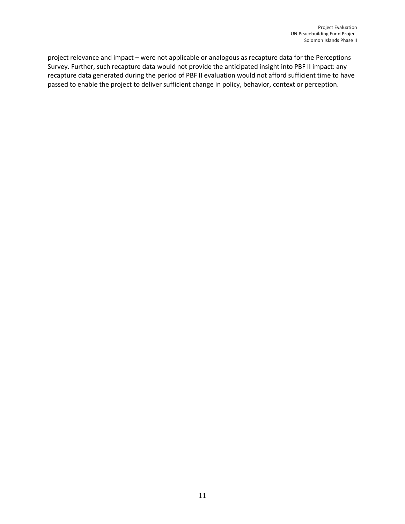project relevance and impact – were not applicable or analogous as recapture data for the Perceptions Survey. Further, such recapture data would not provide the anticipated insight into PBF II impact: any recapture data generated during the period of PBF II evaluation would not afford sufficient time to have passed to enable the project to deliver sufficient change in policy, behavior, context or perception.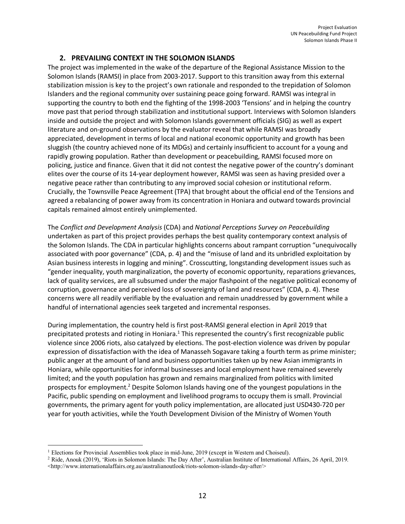## **2. PREVAILING CONTEXT IN THE SOLOMON ISLANDS**

The project was implemented in the wake of the departure of the Regional Assistance Mission to the Solomon Islands (RAMSI) in place from 2003-2017. Support to this transition away from this external stabilization mission is key to the project's own rationale and responded to the trepidation of Solomon Islanders and the regional community over sustaining peace going forward. RAMSI was integral in supporting the country to both end the fighting of the 1998-2003 'Tensions' and in helping the country move past that period through stabilization and institutional support. Interviews with Solomon Islanders inside and outside the project and with Solomon Islands government officials (SIG) as well as expert literature and on-ground observations by the evaluator reveal that while RAMSI was broadly appreciated, development in terms of local and national economic opportunity and growth has been sluggish (the country achieved none of its MDGs) and certainly insufficient to account for a young and rapidly growing population. Rather than development or peacebuilding, RAMSI focused more on policing, justice and finance. Given that it did not contest the negative power of the country's dominant elites over the course of its 14-year deployment however, RAMSI was seen as having presided over a negative peace rather than contributing to any improved social cohesion or institutional reform. Crucially, the Townsville Peace Agreement (TPA) that brought about the official end of the Tensions and agreed a rebalancing of power away from its concentration in Honiara and outward towards provincial capitals remained almost entirely unimplemented.

The *Conflict and Development Analysis* (CDA) and *National Perceptions Survey on Peacebuilding* undertaken as part of this project provides perhaps the best quality contemporary context analysis of the Solomon Islands. The CDA in particular highlights concerns about rampant corruption "unequivocally associated with poor governance" (CDA, p. 4) and the "misuse of land and its unbridled exploitation by Asian business interests in logging and mining". Crosscutting, longstanding development issues such as "gender inequality, youth marginalization, the poverty of economic opportunity, reparations grievances, lack of quality services, are all subsumed under the major flashpoint of the negative political economy of corruption, governance and perceived loss of sovereignty of land and resources" (CDA, p. 4). These concerns were all readily verifiable by the evaluation and remain unaddressed by government while a handful of international agencies seek targeted and incremental responses.

During implementation, the country held is first post-RAMSI general election in April 2019 that precipitated protests and rioting in Honiara.<sup>1</sup> This represented the country's first recognizable public violence since 2006 riots, also catalyzed by elections. The post-election violence was driven by popular expression of dissatisfaction with the idea of Manasseh Sogavare taking a fourth term as prime minister; public anger at the amount of land and business opportunities taken up by new Asian immigrants in Honiara, while opportunities for informal businesses and local employment have remained severely limited; and the youth population has grown and remains marginalized from politics with limited prospects for employment.2 Despite Solomon Islands having one of the youngest populations in the Pacific, public spending on employment and livelihood programs to occupy them is small. Provincial governments, the primary agent for youth policy implementation, are allocated just USD430-720 per year for youth activities, while the Youth Development Division of the Ministry of Women Youth

 $\overline{a}$ 

<sup>1</sup> Elections for Provincial Assemblies took place in mid-June, 2019 (except in Western and Choiseul).

<sup>2</sup> Ride, Anouk (2019), 'Riots in Solomon Islands: The Day After', Australian Institute of International Affairs, 26 April, 2019. <http://www.internationalaffairs.org.au/australianoutlook/riots-solomon-islands-day-after/>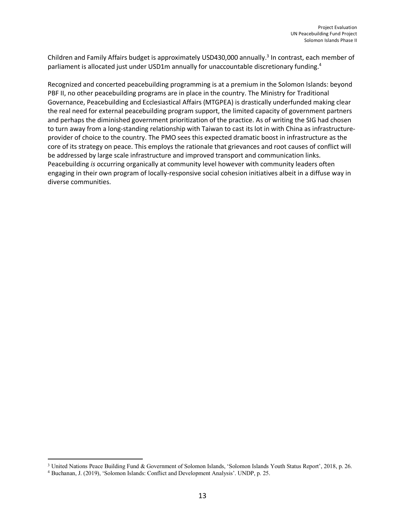Children and Family Affairs budget is approximately USD430,000 annually. <sup>3</sup> In contrast, each member of parliament is allocated just under USD1m annually for unaccountable discretionary funding.<sup>4</sup>

Recognized and concerted peacebuilding programming is at a premium in the Solomon Islands: beyond PBF II, no other peacebuilding programs are in place in the country. The Ministry for Traditional Governance, Peacebuilding and Ecclesiastical Affairs (MTGPEA) is drastically underfunded making clear the real need for external peacebuilding program support, the limited capacity of government partners and perhaps the diminished government prioritization of the practice. As of writing the SIG had chosen to turn away from a long-standing relationship with Taiwan to cast its lot in with China as infrastructureprovider of choice to the country. The PMO sees this expected dramatic boost in infrastructure as the core of its strategy on peace. This employs the rationale that grievances and root causes of conflict will be addressed by large scale infrastructure and improved transport and communication links. Peacebuilding *is* occurring organically at community level however with community leaders often engaging in their own program of locally-responsive social cohesion initiatives albeit in a diffuse way in diverse communities.

 $\overline{a}$ 

<sup>3</sup> United Nations Peace Building Fund & Government of Solomon Islands, 'Solomon Islands Youth Status Report', 2018, p. 26.

<sup>4</sup> Buchanan, J. (2019), 'Solomon Islands: Conflict and Development Analysis'. UNDP, p. 25.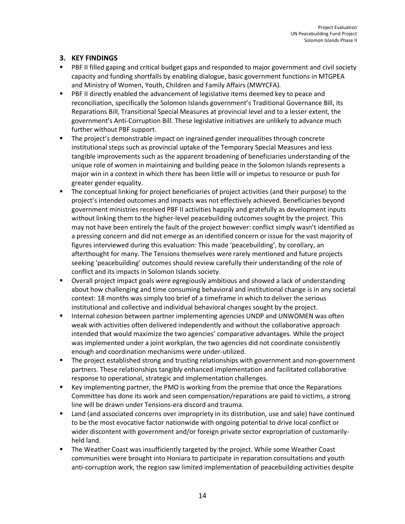# **3. KEY FINDINGS**

- PBF II filled gaping and critical budget gaps and responded to major government and civil society capacity and funding shortfalls by enabling dialogue, basic government functions in MTGPEA and Ministry of Women, Youth, Children and Family Affairs (MWYCFA).
- PBF II directly enabled the advancement of legislative items deemed key to peace and reconciliation, specifically the Solomon Islands government's Traditional Governance Bill, its Reparations Bill, Transitional Special Measures at provincial level and to a lesser extent, the government's Anti-Corruption Bill. These legislative initiatives are unlikely to advance much further without PBF support.
- The project's demonstrable impact on ingrained gender inequalities through concrete institutional steps such as provincial uptake of the Temporary Special Measures and less tangible improvements such as the apparent broadening of beneficiaries understanding of the unique role of women in maintaining and building peace in the Solomon Islands represents a major win in a context in which there has been little will or impetus to resource or push for greater gender equality.
- § The conceptual linking for project beneficiaries of project activities (and their purpose) to the project's intended outcomes and impacts was not effectively achieved. Beneficiaries beyond government ministries received PBF II activities happily and gratefully as development inputs without linking them to the higher-level peacebuilding outcomes sought by the project. This may not have been entirely the fault of the project however: conflict simply wasn't identified as a pressing concern and did not emerge as an identified concern or issue for the vast majority of figures interviewed during this evaluation: This made 'peacebuilding', by corollary, an afterthought for many. The Tensions themselves were rarely mentioned and future projects seeking 'peacebuilding' outcomes should review carefully their understanding of the role of conflict and its impacts in Solomon Islands society.
- § Overall project impact goals were egregiously ambitious and showed a lack of understanding about how challenging and time consuming behavioral and institutional change is in any societal context: 18 months was simply too brief of a timeframe in which to deliver the serious institutional and collective and individual behavioral changes sought by the project.
- Internal cohesion between partner implementing agencies UNDP and UNWOMEN was often weak with activities often delivered independently and without the collaborative approach intended that would maximize the two agencies' comparative advantages. While the project was implemented under a joint workplan, the two agencies did not coordinate consistently enough and coordination mechanisms were under-utilized.
- The project established strong and trusting relationships with government and non-government partners. These relationships tangibly enhanced implementation and facilitated collaborative response to operational, strategic and implementation challenges.
- Key implementing partner, the PMO is working from the premise that once the Reparations Committee has done its work and seen compensation/reparations are paid to victims, a strong line will be drawn under Tensions-era discord and trauma.
- Land (and associated concerns over impropriety in its distribution, use and sale) have continued to be the most evocative factor nationwide with ongoing potential to drive local conflict or wider discontent with government and/or foreign private sector expropriation of customarilyheld land.
- The Weather Coast was insufficiently targeted by the project. While some Weather Coast communities were brought into Honiara to participate in reparation consultations and youth anti-corruption work, the region saw limited implementation of peacebuilding activities despite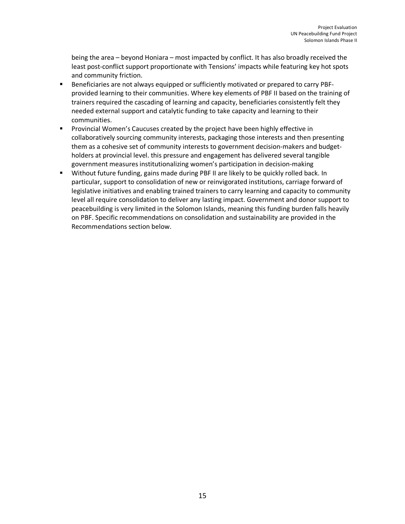being the area – beyond Honiara – most impacted by conflict. It has also broadly received the least post-conflict support proportionate with Tensions' impacts while featuring key hot spots and community friction.

- § Beneficiaries are not always equipped or sufficiently motivated or prepared to carry PBFprovided learning to their communities. Where key elements of PBF II based on the training of trainers required the cascading of learning and capacity, beneficiaries consistently felt they needed external support and catalytic funding to take capacity and learning to their communities.
- § Provincial Women's Caucuses created by the project have been highly effective in collaboratively sourcing community interests, packaging those interests and then presenting them as a cohesive set of community interests to government decision-makers and budgetholders at provincial level. this pressure and engagement has delivered several tangible government measures institutionalizing women's participation in decision-making
- Without future funding, gains made during PBF II are likely to be quickly rolled back. In particular, support to consolidation of new or reinvigorated institutions, carriage forward of legislative initiatives and enabling trained trainers to carry learning and capacity to community level all require consolidation to deliver any lasting impact. Government and donor support to peacebuilding is very limited in the Solomon Islands, meaning this funding burden falls heavily on PBF. Specific recommendations on consolidation and sustainability are provided in the Recommendations section below.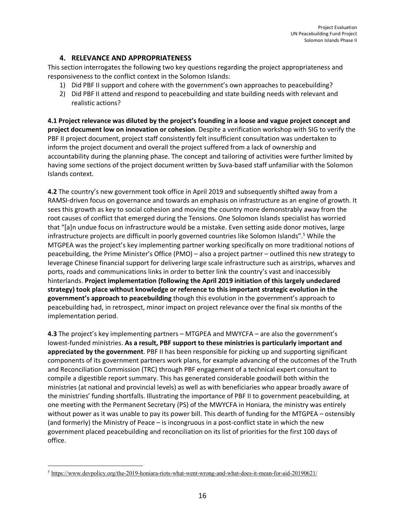## **4. RELEVANCE AND APPROPRIATENESS**

This section interrogates the following two key questions regarding the project appropriateness and responsiveness to the conflict context in the Solomon Islands:

- 1) Did PBF II support and cohere with the government's own approaches to peacebuilding?
- 2) Did PBF II attend and respond to peacebuilding and state building needs with relevant and realistic actions?

**4.1 Project relevance was diluted by the project's founding in a loose and vague project concept and project document low on innovation or cohesion**. Despite a verification workshop with SIG to verify the PBF II project document, project staff consistently felt insufficient consultation was undertaken to inform the project document and overall the project suffered from a lack of ownership and accountability during the planning phase. The concept and tailoring of activities were further limited by having some sections of the project document written by Suva-based staff unfamiliar with the Solomon Islands context.

**4.2** The country's new government took office in April 2019 and subsequently shifted away from a RAMSI-driven focus on governance and towards an emphasis on infrastructure as an engine of growth. It sees this growth as key to social cohesion and moving the country more demonstrably away from the root causes of conflict that emerged during the Tensions. One Solomon Islands specialist has worried that "[a]n undue focus on infrastructure would be a mistake. Even setting aside donor motives, large infrastructure projects are difficult in poorly governed countries like Solomon Islands". <sup>5</sup> While the MTGPEA was the project's key implementing partner working specifically on more traditional notions of peacebuilding, the Prime Minister's Office (PMO) – also a project partner – outlined this new strategy to leverage Chinese financial support for delivering large scale infrastructure such as airstrips, wharves and ports, roads and communications links in order to better link the country's vast and inaccessibly hinterlands. **Project implementation (following the April 2019 initiation of this largely undeclared strategy) took place without knowledge or reference to this important strategic evolution in the government's approach to peacebuilding** though this evolution in the government's approach to peacebuilding had, in retrospect, minor impact on project relevance over the final six months of the implementation period.

**4.3** The project's key implementing partners – MTGPEA and MWYCFA – are also the government's lowest-funded ministries. **As a result, PBF support to these ministries is particularly important and appreciated by the government**. PBF II has been responsible for picking up and supporting significant components of its government partners work plans, for example advancing of the outcomes of the Truth and Reconciliation Commission (TRC) through PBF engagement of a technical expert consultant to compile a digestible report summary. This has generated considerable goodwill both within the ministries (at national and provincial levels) as well as with beneficiaries who appear broadly aware of the ministries' funding shortfalls. Illustrating the importance of PBF II to government peacebuilding, at one meeting with the Permanent Secretary (PS) of the MWYCFA in Honiara, the ministry was entirely without power as it was unable to pay its power bill. This dearth of funding for the MTGPEA – ostensibly (and formerly) the Ministry of Peace – is incongruous in a post-conflict state in which the new government placed peacebuilding and reconciliation on its list of priorities for the first 100 days of office.

 $\overline{\phantom{a}}$ 

<sup>5</sup> https://www.devpolicy.org/the-2019-honiara-riots-what-went-wrong-and-what-does-it-mean-for-aid-20190621/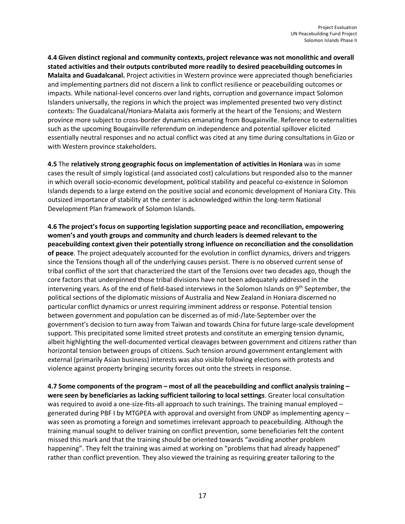**4.4 Given distinct regional and community contexts, project relevance was not monolithic and overall stated activities and their outputs contributed more readily to desired peacebuilding outcomes in Malaita and Guadalcanal.** Project activities in Western province were appreciated though beneficiaries and implementing partners did not discern a link to conflict resilience or peacebuilding outcomes or impacts. While national-level concerns over land rights, corruption and governance impact Solomon Islanders universally, the regions in which the project was implemented presented two very distinct contexts: The Guadalcanal/Honiara-Malaita axis formerly at the heart of the Tensions; and Western province more subject to cross-border dynamics emanating from Bougainville. Reference to externalities such as the upcoming Bougainville referendum on independence and potential spillover elicited essentially neutral responses and no actual conflict was cited at any time during consultations in Gizo or with Western province stakeholders.

**4.5** The **relatively strong geographic focus on implementation of activities in Honiara** was in some cases the result of simply logistical (and associated cost) calculations but responded also to the manner in which overall socio-economic development, political stability and peaceful co-existence in Solomon Islands depends to a large extend on the positive social and economic development of Honiara City. This outsized importance of stability at the center is acknowledged within the long-term National Development Plan framework of Solomon Islands.

**4.6 The project's focus on supporting legislation supporting peace and reconciliation, empowering women's and youth groups and community and church leaders is deemed relevant to the peacebuilding context given their potentially strong influence on reconciliation and the consolidation of peace**. The project adequately accounted for the evolution in conflict dynamics, drivers and triggers since the Tensions though all of the underlying causes persist. There is no observed current sense of tribal conflict of the sort that characterized the start of the Tensions over two decades ago, though the core factors that underpinned those tribal divisions have not been adequately addressed in the intervening years. As of the end of field-based interviews in the Solomon Islands on 9<sup>th</sup> September, the political sections of the diplomatic missions of Australia and New Zealand in Honiara discerned no particular conflict dynamics or unrest requiring imminent address or response. Potential tension between government and population can be discerned as of mid-/late-September over the government's decision to turn away from Taiwan and towards China for future large-scale development support. This precipitated some limited street protests and constitute an emerging tension dynamic, albeit highlighting the well-documented vertical cleavages between government and citizens rather than horizontal tension between groups of citizens. Such tension around government entanglement with external (primarily Asian business) interests was also visible following elections with protests and violence against property bringing security forces out onto the streets in response.

**4.7 Some components of the program – most of all the peacebuilding and conflict analysis training – were seen by beneficiaries as lacking sufficient tailoring to local settings**. Greater local consultation was required to avoid a one-size-fits-all approach to such trainings. The training manual employed generated during PBF I by MTGPEA with approval and oversight from UNDP as implementing agency – was seen as promoting a foreign and sometimes irrelevant approach to peacebuilding. Although the training manual sought to deliver training on conflict prevention, some beneficiaries felt the content missed this mark and that the training should be oriented towards "avoiding another problem happening". They felt the training was aimed at working on "problems that had already happened" rather than conflict prevention. They also viewed the training as requiring greater tailoring to the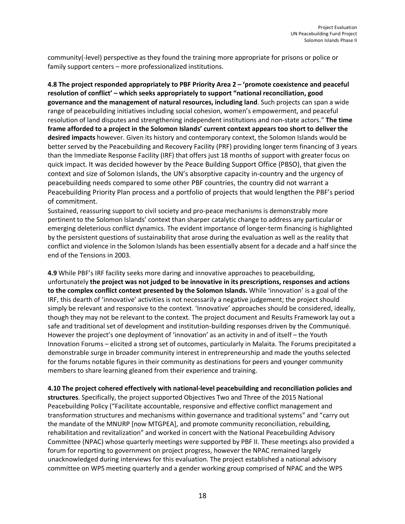community(-level) perspective as they found the training more appropriate for prisons or police or family support centers – more professionalized institutions.

**4.8 The project responded appropriately to PBF Priority Area 2 – 'promote coexistence and peaceful resolution of conflict' – which seeks appropriately to support "national reconciliation, good governance and the management of natural resources, including land**. Such projects can span a wide range of peacebuilding initiatives including social cohesion, women's empowerment, and peaceful resolution of land disputes and strengthening independent institutions and non-state actors." **The time frame afforded to a project in the Solomon Islands' current context appears too short to deliver the desired impacts** however. Given its history and contemporary context, the Solomon Islands would be better served by the Peacebuilding and Recovery Facility (PRF) providing longer term financing of 3 years than the Immediate Response Facility (IRF) that offers just 18 months of support with greater focus on quick impact. It was decided however by the Peace Building Support Office (PBSO), that given the context and size of Solomon Islands, the UN's absorptive capacity in-country and the urgency of peacebuilding needs compared to some other PBF countries, the country did not warrant a Peacebuilding Priority Plan process and a portfolio of projects that would lengthen the PBF's period of commitment.

Sustained, reassuring support to civil society and pro-peace mechanisms is demonstrably more pertinent to the Solomon Islands' context than sharper catalytic change to address any particular or emerging deleterious conflict dynamics. The evident importance of longer-term financing is highlighted by the persistent questions of sustainability that arose during the evaluation as well as the reality that conflict and violence in the Solomon Islands has been essentially absent for a decade and a half since the end of the Tensions in 2003.

**4.9** While PBF's IRF facility seeks more daring and innovative approaches to peacebuilding, unfortunately **the project was not judged to be innovative in its prescriptions, responses and actions to the complex conflict context presented by the Solomon Islands.** While 'innovation' is a goal of the IRF, this dearth of 'innovative' activities is not necessarily a negative judgement; the project should simply be relevant and responsive to the context. 'Innovative' approaches should be considered, ideally, though they may not be relevant to the context. The project document and Results Framework lay out a safe and traditional set of development and institution-building responses driven by the Communiqué. However the project's one deployment of 'innovation' as an activity in and of itself – the Youth Innovation Forums – elicited a strong set of outcomes, particularly in Malaita. The Forums precipitated a demonstrable surge in broader community interest in entrepreneurship and made the youths selected for the forums notable figures in their community as destinations for peers and younger community members to share learning gleaned from their experience and training.

**4.10 The project cohered effectively with national-level peacebuilding and reconciliation policies and structures**. Specifically, the project supported Objectives Two and Three of the 2015 National Peacebuilding Policy ("Facilitate accountable, responsive and effective conflict management and transformation structures and mechanisms within governance and traditional systems" and "carry out the mandate of the MNURP [now MTGPEA], and promote community reconciliation, rebuilding, rehabilitation and revitalization" and worked in concert with the National Peacebuilding Advisory Committee (NPAC) whose quarterly meetings were supported by PBF II. These meetings also provided a forum for reporting to government on project progress, however the NPAC remained largely unacknowledged during interviews for this evaluation. The project established a national advisory committee on WPS meeting quarterly and a gender working group comprised of NPAC and the WPS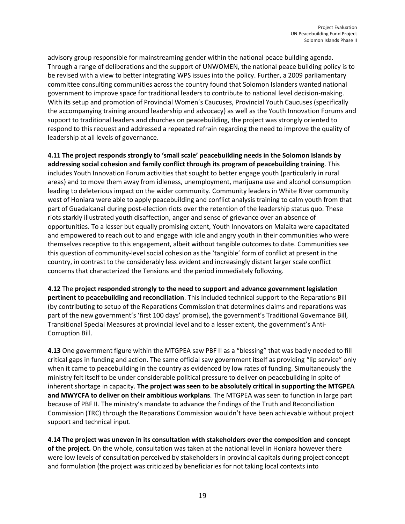advisory group responsible for mainstreaming gender within the national peace building agenda. Through a range of deliberations and the support of UNWOMEN, the national peace building policy is to be revised with a view to better integrating WPS issues into the policy. Further, a 2009 parliamentary committee consulting communities across the country found that Solomon Islanders wanted national government to improve space for traditional leaders to contribute to national level decision-making. With its setup and promotion of Provincial Women's Caucuses, Provincial Youth Caucuses (specifically the accompanying training around leadership and advocacy) as well as the Youth Innovation Forums and support to traditional leaders and churches on peacebuilding, the project was strongly oriented to respond to this request and addressed a repeated refrain regarding the need to improve the quality of leadership at all levels of governance.

**4.11 The project responds strongly to 'small scale' peacebuilding needs in the Solomon Islands by addressing social cohesion and family conflict through its program of peacebuilding training**. This includes Youth Innovation Forum activities that sought to better engage youth (particularly in rural areas) and to move them away from idleness, unemployment, marijuana use and alcohol consumption leading to deleterious impact on the wider community. Community leaders in White River community west of Honiara were able to apply peacebuilding and conflict analysis training to calm youth from that part of Guadalcanal during post-election riots over the retention of the leadership status quo. These riots starkly illustrated youth disaffection, anger and sense of grievance over an absence of opportunities. To a lesser but equally promising extent, Youth Innovators on Malaita were capacitated and empowered to reach out to and engage with idle and angry youth in their communities who were themselves receptive to this engagement, albeit without tangible outcomes to date. Communities see this question of community-level social cohesion as the 'tangible' form of conflict at present in the country, in contrast to the considerably less evident and increasingly distant larger scale conflict concerns that characterized the Tensions and the period immediately following.

**4.12** The **project responded strongly to the need to support and advance government legislation pertinent to peacebuilding and reconciliation**. This included technical support to the Reparations Bill (by contributing to setup of the Reparations Commission that determines claims and reparations was part of the new government's 'first 100 days' promise), the government's Traditional Governance Bill, Transitional Special Measures at provincial level and to a lesser extent, the government's Anti-Corruption Bill.

**4.13** One government figure within the MTGPEA saw PBF II as a "blessing" that was badly needed to fill critical gaps in funding and action. The same official saw government itself as providing "lip service" only when it came to peacebuilding in the country as evidenced by low rates of funding. Simultaneously the ministry felt itself to be under considerable political pressure to deliver on peacebuilding in spite of inherent shortage in capacity. **The project was seen to be absolutely critical in supporting the MTGPEA and MWYCFA to deliver on their ambitious workplans**. The MTGPEA was seen to function in large part because of PBF II. The ministry's mandate to advance the findings of the Truth and Reconciliation Commission (TRC) through the Reparations Commission wouldn't have been achievable without project support and technical input.

**4.14 The project was uneven in its consultation with stakeholders over the composition and concept of the project.** On the whole, consultation was taken at the national level in Honiara however there were low levels of consultation perceived by stakeholders in provincial capitals during project concept and formulation (the project was criticized by beneficiaries for not taking local contexts into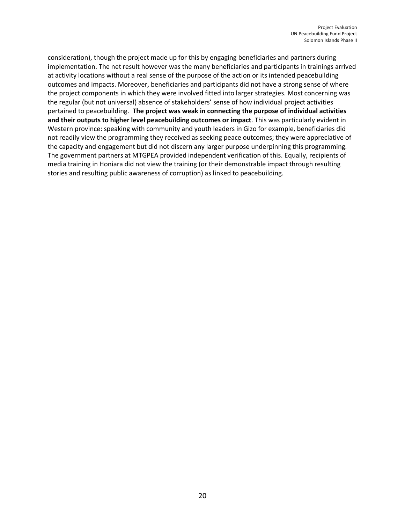consideration), though the project made up for this by engaging beneficiaries and partners during implementation. The net result however was the many beneficiaries and participants in trainings arrived at activity locations without a real sense of the purpose of the action or its intended peacebuilding outcomes and impacts. Moreover, beneficiaries and participants did not have a strong sense of where the project components in which they were involved fitted into larger strategies. Most concerning was the regular (but not universal) absence of stakeholders' sense of how individual project activities pertained to peacebuilding. **The project was weak in connecting the purpose of individual activities and their outputs to higher level peacebuilding outcomes or impact**. This was particularly evident in Western province: speaking with community and youth leaders in Gizo for example, beneficiaries did not readily view the programming they received as seeking peace outcomes; they were appreciative of the capacity and engagement but did not discern any larger purpose underpinning this programming. The government partners at MTGPEA provided independent verification of this. Equally, recipients of media training in Honiara did not view the training (or their demonstrable impact through resulting stories and resulting public awareness of corruption) as linked to peacebuilding.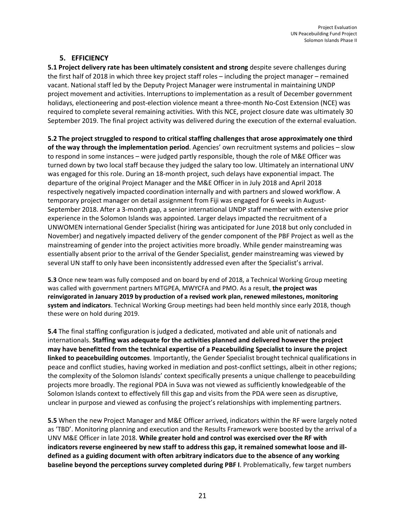## **5. EFFICIENCY**

**5.1 Project delivery rate has been ultimately consistent and strong** despite severe challenges during the first half of 2018 in which three key project staff roles – including the project manager – remained vacant. National staff led by the Deputy Project Manager were instrumental in maintaining UNDP project movement and activities. Interruptions to implementation as a result of December government holidays, electioneering and post-election violence meant a three-month No-Cost Extension (NCE) was required to complete several remaining activities. With this NCE, project closure date was ultimately 30 September 2019. The final project activity was delivered during the execution of the external evaluation.

**5.2 The project struggled to respond to critical staffing challenges that arose approximately one third of the way through the implementation period**. Agencies' own recruitment systems and policies – slow to respond in some instances – were judged partly responsible, though the role of M&E Officer was turned down by two local staff because they judged the salary too low. Ultimately an international UNV was engaged for this role. During an 18-month project, such delays have exponential impact. The departure of the original Project Manager and the M&E Officer in in July 2018 and April 2018 respectively negatively impacted coordination internally and with partners and slowed workflow. A temporary project manager on detail assignment from Fiji was engaged for 6 weeks in August-September 2018. After a 3-month gap, a senior international UNDP staff member with extensive prior experience in the Solomon Islands was appointed. Larger delays impacted the recruitment of a UNWOMEN international Gender Specialist (hiring was anticipated for June 2018 but only concluded in November) and negatively impacted delivery of the gender component of the PBF Project as well as the mainstreaming of gender into the project activities more broadly. While gender mainstreaming was essentially absent prior to the arrival of the Gender Specialist, gender mainstreaming was viewed by several UN staff to only have been inconsistently addressed even after the Specialist's arrival.

**5.3** Once new team was fully composed and on board by end of 2018, a Technical Working Group meeting was called with government partners MTGPEA, MWYCFA and PMO. As a result, **the project was reinvigorated in January 2019 by production of a revised work plan, renewed milestones, monitoring system and indicators**. Technical Working Group meetings had been held monthly since early 2018, though these were on hold during 2019.

**5.4** The final staffing configuration is judged a dedicated, motivated and able unit of nationals and internationals. **Staffing was adequate for the activities planned and delivered however the project may have benefitted from the technical expertise of a Peacebuilding Specialist to insure the project linked to peacebuilding outcomes**. Importantly, the Gender Specialist brought technical qualifications in peace and conflict studies, having worked in mediation and post-conflict settings, albeit in other regions; the complexity of the Solomon Islands' context specifically presents a unique challenge to peacebuilding projects more broadly. The regional PDA in Suva was not viewed as sufficiently knowledgeable of the Solomon Islands context to effectively fill this gap and visits from the PDA were seen as disruptive, unclear in purpose and viewed as confusing the project's relationships with implementing partners.

**5.5** When the new Project Manager and M&E Officer arrived, indicators within the RF were largely noted as 'TBD'. Monitoring planning and execution and the Results Framework were boosted by the arrival of a UNV M&E Officer in late 2018. **While greater hold and control was exercised over the RF with indicators reverse engineered by new staff to address this gap, it remained somewhat loose and illdefined as a guiding document with often arbitrary indicators due to the absence of any working baseline beyond the perceptions survey completed during PBF I**. Problematically, few target numbers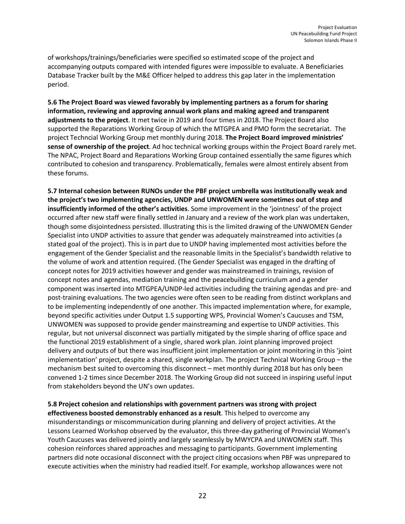of workshops/trainings/beneficiaries were specified so estimated scope of the project and accompanying outputs compared with intended figures were impossible to evaluate. A Beneficiaries Database Tracker built by the M&E Officer helped to address this gap later in the implementation period.

**5.6 The Project Board was viewed favorably by implementing partners as a forum for sharing information, reviewing and approving annual work plans and making agreed and transparent adjustments to the project**. It met twice in 2019 and four times in 2018. The Project Board also supported the Reparations Working Group of which the MTGPEA and PMO form the secretariat. The project Techncial Working Group met monthly during 2018. **The Project Board improved ministries' sense of ownership of the project**. Ad hoc technical working groups within the Project Board rarely met. The NPAC, Project Board and Reparations Working Group contained essentially the same figures which contributed to cohesion and transparency. Problematically, females were almost entirely absent from these forums.

**5.7 Internal cohesion between RUNOs under the PBF project umbrella was institutionally weak and the project's two implementing agencies, UNDP and UNWOMEN were sometimes out of step and insufficiently informed of the other's activities**. Some improvement in the 'jointness' of the project occurred after new staff were finally settled in January and a review of the work plan was undertaken, though some disjointedness persisted. Illustrating this is the limited drawing of the UNWOMEN Gender Specialist into UNDP activities to assure that gender was adequately mainstreamed into activities (a stated goal of the project). This is in part due to UNDP having implemented most activities before the engagement of the Gender Specialist and the reasonable limits in the Specialist's bandwidth relative to the volume of work and attention required. (The Gender Specialist was engaged in the drafting of concept notes for 2019 activities however and gender was mainstreamed in trainings, revision of concept notes and agendas, mediation training and the peacebuilding curriculum and a gender component was inserted into MTGPEA/UNDP-led activities including the training agendas and pre- and post-training evaluations. The two agencies were often seen to be reading from distinct workplans and to be implementing independently of one another. This impacted implementation where, for example, beyond specific activities under Output 1.5 supporting WPS, Provincial Women's Caucuses and TSM, UNWOMEN was supposed to provide gender mainstreaming and expertise to UNDP activities. This regular, but not universal disconnect was partially mitigated by the simple sharing of office space and the functional 2019 establishment of a single, shared work plan. Joint planning improved project delivery and outputs of but there was insufficient joint implementation or joint monitoring in this 'joint implementation' project, despite a shared, single workplan. The project Technical Working Group – the mechanism best suited to overcoming this disconnect – met monthly during 2018 but has only been convened 1-2 times since December 2018. The Working Group did not succeed in inspiring useful input from stakeholders beyond the UN's own updates.

**5.8 Project cohesion and relationships with government partners was strong with project effectiveness boosted demonstrably enhanced as a result**. This helped to overcome any misunderstandings or miscommunication during planning and delivery of project activities. At the Lessons Learned Workshop observed by the evaluator, this three-day gathering of Provincial Women's Youth Caucuses was delivered jointly and largely seamlessly by MWYCPA and UNWOMEN staff. This cohesion reinforces shared approaches and messaging to participants. Government implementing partners did note occasional disconnect with the project citing occasions when PBF was unprepared to execute activities when the ministry had readied itself. For example, workshop allowances were not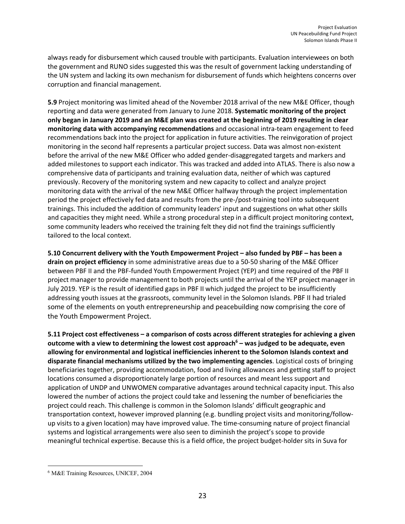always ready for disbursement which caused trouble with participants. Evaluation interviewees on both the government and RUNO sides suggested this was the result of government lacking understanding of the UN system and lacking its own mechanism for disbursement of funds which heightens concerns over corruption and financial management.

**5.9** Project monitoring was limited ahead of the November 2018 arrival of the new M&E Officer, though reporting and data were generated from January to June 2018. **Systematic monitoring of the project only began in January 2019 and an M&E plan was created at the beginning of 2019 resulting in clear monitoring data with accompanying recommendations** and occasional intra-team engagement to feed recommendations back into the project for application in future activities. The reinvigoration of project monitoring in the second half represents a particular project success. Data was almost non-existent before the arrival of the new M&E Officer who added gender-disaggregated targets and markers and added milestones to support each indicator. This was tracked and added into ATLAS. There is also now a comprehensive data of participants and training evaluation data, neither of which was captured previously. Recovery of the monitoring system and new capacity to collect and analyze project monitoring data with the arrival of the new M&E Officer halfway through the project implementation period the project effectively fed data and results from the pre-/post-training tool into subsequent trainings. This included the addition of community leaders' input and suggestions on what other skills and capacities they might need. While a strong procedural step in a difficult project monitoring context, some community leaders who received the training felt they did not find the trainings sufficiently tailored to the local context.

**5.10 Concurrent delivery with the Youth Empowerment Project – also funded by PBF – has been a drain on project efficiency** in some administrative areas due to a 50-50 sharing of the M&E Officer between PBF II and the PBF-funded Youth Empowerment Project (YEP) and time required of the PBF II project manager to provide management to both projects until the arrival of the YEP project manager in July 2019. YEP is the result of identified gaps in PBF II which judged the project to be insufficiently addressing youth issues at the grassroots, community level in the Solomon Islands. PBF II had trialed some of the elements on youth entrepreneurship and peacebuilding now comprising the core of the Youth Empowerment Project.

**5.11 Project cost effectiveness – a comparison of costs across different strategies for achieving a given outcome with a view to determining the lowest cost approach6 – was judged to be adequate, even allowing for environmental and logistical inefficiencies inherent to the Solomon Islands context and disparate financial mechanisms utilized by the two implementing agencies**. Logistical costs of bringing beneficiaries together, providing accommodation, food and living allowances and getting staff to project locations consumed a disproportionately large portion of resources and meant less support and application of UNDP and UNWOMEN comparative advantages around technical capacity input. This also lowered the number of actions the project could take and lessening the number of beneficiaries the project could reach. This challenge is common in the Solomon Islands' difficult geographic and transportation context, however improved planning (e.g. bundling project visits and monitoring/followup visits to a given location) may have improved value. The time-consuming nature of project financial systems and logistical arrangements were also seen to diminish the project's scope to provide meaningful technical expertise. Because this is a field office, the project budget-holder sits in Suva for

 $\overline{\phantom{a}}$ 

<sup>6</sup> M&E Training Resources, UNICEF, 2004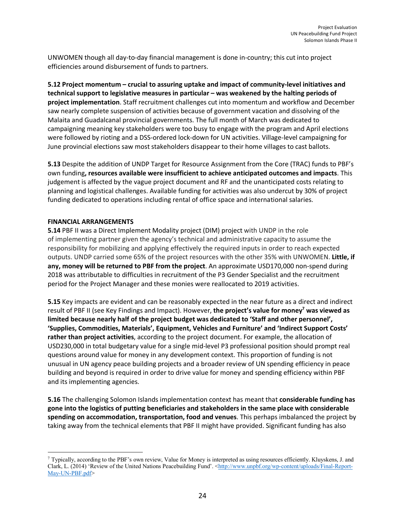UNWOMEN though all day-to-day financial management is done in-country; this cut into project efficiencies around disbursement of funds to partners.

**5.12 Project momentum – crucial to assuring uptake and impact of community-level initiatives and technical support to legislative measures in particular – was weakened by the halting periods of project implementation**. Staff recruitment challenges cut into momentum and workflow and December saw nearly complete suspension of activities because of government vacation and dissolving of the Malaita and Guadalcanal provincial governments. The full month of March was dedicated to campaigning meaning key stakeholders were too busy to engage with the program and April elections were followed by rioting and a DSS-ordered lock-down for UN activities. Village-level campaigning for June provincial elections saw most stakeholders disappear to their home villages to cast ballots.

**5.13** Despite the addition of UNDP Target for Resource Assignment from the Core (TRAC) funds to PBF's own funding**, resources available were insufficient to achieve anticipated outcomes and impacts**. This judgement is affected by the vague project document and RF and the unanticipated costs relating to planning and logistical challenges. Available funding for activities was also undercut by 30% of project funding dedicated to operations including rental of office space and international salaries.

#### **FINANCIAL ARRANGEMENTS**

 $\overline{\phantom{a}}$ 

**5.14** PBF II was a Direct Implement Modality project (DIM) project with UNDP in the role of implementing partner given the agency's technical and administrative capacity to assume the responsibility for mobilizing and applying effectively the required inputs in order to reach expected outputs. UNDP carried some 65% of the project resources with the other 35% with UNWOMEN. **Little, if any, money will be returned to PBF from the project**. An approximate USD170,000 non-spend during 2018 was attributable to difficulties in recruitment of the P3 Gender Specialist and the recruitment period for the Project Manager and these monies were reallocated to 2019 activities.

**5.15** Key impacts are evident and can be reasonably expected in the near future as a direct and indirect result of PBF II (see Key Findings and Impact). However, **the project's value for money7 was viewed as limited because nearly half of the project budget was dedicated to 'Staff and other personnel', 'Supplies, Commodities, Materials', Equipment, Vehicles and Furniture' and 'Indirect Support Costs' rather than project activities**, according to the project document. For example, the allocation of USD230,000 in total budgetary value for a single mid-level P3 professional position should prompt real questions around value for money in any development context. This proportion of funding is not unusual in UN agency peace building projects and a broader review of UN spending efficiency in peace building and beyond is required in order to drive value for money and spending efficiency within PBF and its implementing agencies.

**5.16** The challenging Solomon Islands implementation context has meant that **considerable funding has gone into the logistics of putting beneficiaries and stakeholders in the same place with considerable spending on accommodation, transportation, food and venues**. This perhaps imbalanced the project by taking away from the technical elements that PBF II might have provided. Significant funding has also

 $^7$  Typically, according to the PBF's own review. Value for Money is interpreted as using resources efficiently. Kluyskens, J. and Clark, L. (2014) 'Review of the United Nations Peacebuilding Fund'. <http://www.unpbf.org/wp-content/uploads/Final-Report-May-UN-PBF.pdf>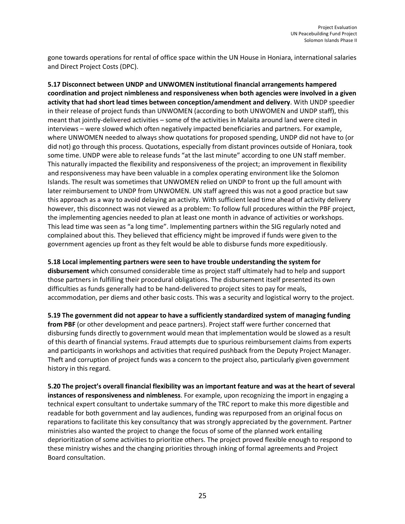gone towards operations for rental of office space within the UN House in Honiara, international salaries and Direct Project Costs (DPC).

**5.17 Disconnect between UNDP and UNWOMEN institutional financial arrangements hampered coordination and project nimbleness and responsiveness when both agencies were involved in a given activity that had short lead times between conception/amendment and delivery**. With UNDP speedier in their release of project funds than UNWOMEN (according to both UNWOMEN and UNDP staff), this meant that jointly-delivered activities – some of the activities in Malaita around land were cited in interviews – were slowed which often negatively impacted beneficiaries and partners. For example, where UNWOMEN needed to always show quotations for proposed spending, UNDP did not have to (or did not) go through this process. Quotations, especially from distant provinces outside of Honiara, took some time. UNDP were able to release funds "at the last minute" according to one UN staff member. This naturally impacted the flexibility and responsiveness of the project; an improvement in flexibility and responsiveness may have been valuable in a complex operating environment like the Solomon Islands. The result was sometimes that UNWOMEN relied on UNDP to front up the full amount with later reimbursement to UNDP from UNWOMEN. UN staff agreed this was not a good practice but saw this approach as a way to avoid delaying an activity. With sufficient lead time ahead of activity delivery however, this disconnect was not viewed as a problem: To follow full procedures within the PBF project, the implementing agencies needed to plan at least one month in advance of activities or workshops. This lead time was seen as "a long time". Implementing partners within the SIG regularly noted and complained about this. They believed that efficiency might be improved if funds were given to the government agencies up front as they felt would be able to disburse funds more expeditiously.

**5.18 Local implementing partners were seen to have trouble understanding the system for** 

**disbursement** which consumed considerable time as project staff ultimately had to help and support those partners in fulfilling their procedural obligations. The disbursement itself presented its own difficulties as funds generally had to be hand-delivered to project sites to pay for meals, accommodation, per diems and other basic costs. This was a security and logistical worry to the project.

**5.19 The government did not appear to have a sufficiently standardized system of managing funding from PBF** (or other development and peace partners). Project staff were further concerned that disbursing funds directly to government would mean that implementation would be slowed as a result of this dearth of financial systems. Fraud attempts due to spurious reimbursement claims from experts and participants in workshops and activities that required pushback from the Deputy Project Manager. Theft and corruption of project funds was a concern to the project also, particularly given government history in this regard.

**5.20 The project's overall financial flexibility was an important feature and was at the heart of several instances of responsiveness and nimbleness**. For example, upon recognizing the import in engaging a technical expert consultant to undertake summary of the TRC report to make this more digestible and readable for both government and lay audiences, funding was repurposed from an original focus on reparations to facilitate this key consultancy that was strongly appreciated by the government. Partner ministries also wanted the project to change the focus of some of the planned work entailing deprioritization of some activities to prioritize others. The project proved flexible enough to respond to these ministry wishes and the changing priorities through inking of formal agreements and Project Board consultation.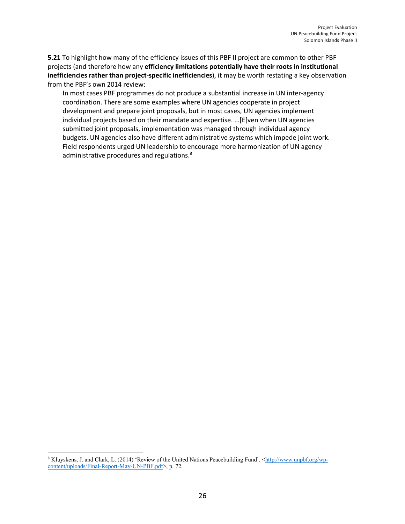**5.21** To highlight how many of the efficiency issues of this PBF II project are common to other PBF projects (and therefore how any **efficiency limitations potentially have their roots in institutional inefficiencies rather than project-specific inefficiencies**), it may be worth restating a key observation from the PBF's own 2014 review:

In most cases PBF programmes do not produce a substantial increase in UN inter-agency coordination. There are some examples where UN agencies cooperate in project development and prepare joint proposals, but in most cases, UN agencies implement individual projects based on their mandate and expertise. …[E]ven when UN agencies submitted joint proposals, implementation was managed through individual agency budgets. UN agencies also have different administrative systems which impede joint work. Field respondents urged UN leadership to encourage more harmonization of UN agency administrative procedures and regulations.<sup>8</sup>

 $\overline{\phantom{a}}$ 8 Kluyskens, J. and Clark, L. (2014) 'Review of the United Nations Peacebuilding Fund'. <http://www.unpbf.org/wpcontent/uploads/Final-Report-May-UN-PBF.pdf>, p. 72.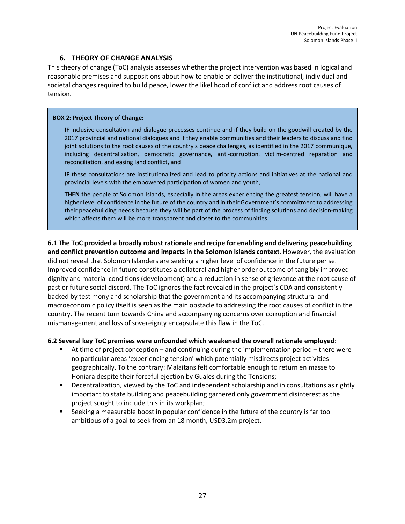## **6. THEORY OF CHANGE ANALYSIS**

This theory of change (ToC) analysis assesses whether the project intervention was based in logical and reasonable premises and suppositions about how to enable or deliver the institutional, individual and societal changes required to build peace, lower the likelihood of conflict and address root causes of tension.

#### **BOX 2: Project Theory of Change:**

**IF** inclusive consultation and dialogue processes continue and if they build on the goodwill created by the 2017 provincial and national dialogues and if they enable communities and their leaders to discuss and find joint solutions to the root causes of the country's peace challenges, as identified in the 2017 communique, including decentralization, democratic governance, anti-corruption, victim-centred reparation and reconciliation, and easing land conflict, and

**IF** these consultations are institutionalized and lead to priority actions and initiatives at the national and provincial levels with the empowered participation of women and youth,

**THEN** the people of Solomon Islands, especially in the areas experiencing the greatest tension, will have a higher level of confidence in the future of the country and in their Government's commitment to addressing their peacebuilding needs because they will be part of the process of finding solutions and decision-making which affects them will be more transparent and closer to the communities.

**6.1 The ToC provided a broadly robust rationale and recipe for enabling and delivering peacebuilding and conflict prevention outcome and impacts in the Solomon Islands context**. However, the evaluation did not reveal that Solomon Islanders are seeking a higher level of confidence in the future per se. Improved confidence in future constitutes a collateral and higher order outcome of tangibly improved dignity and material conditions (development) and a reduction in sense of grievance at the root cause of past or future social discord. The ToC ignores the fact revealed in the project's CDA and consistently backed by testimony and scholarship that the government and its accompanying structural and macroeconomic policy itself is seen as the main obstacle to addressing the root causes of conflict in the country. The recent turn towards China and accompanying concerns over corruption and financial mismanagement and loss of sovereignty encapsulate this flaw in the ToC.

#### **6.2 Several key ToC premises were unfounded which weakened the overall rationale employed**:

- § At time of project conception and continuing during the implementation period there were no particular areas 'experiencing tension' which potentially misdirects project activities geographically. To the contrary: Malaitans felt comfortable enough to return en masse to Honiara despite their forceful ejection by Guales during the Tensions;
- Decentralization, viewed by the ToC and independent scholarship and in consultations as rightly important to state building and peacebuilding garnered only government disinterest as the project sought to include this in its workplan;
- § Seeking a measurable boost in popular confidence in the future of the country is far too ambitious of a goal to seek from an 18 month, USD3.2m project.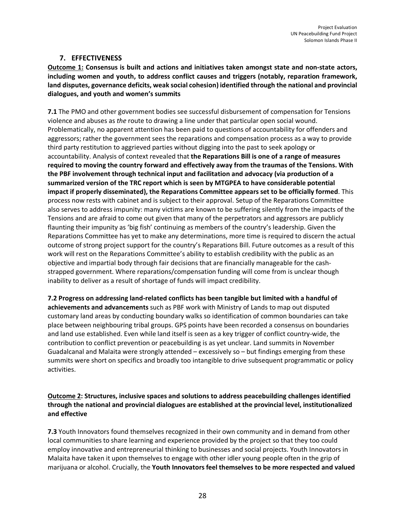## **7. EFFECTIVENESS**

**Outcome 1: Consensus is built and actions and initiatives taken amongst state and non-state actors, including women and youth, to address conflict causes and triggers (notably, reparation framework, land disputes, governance deficits, weak social cohesion) identified through the national and provincial dialogues, and youth and women's summits**

**7.1** The PMO and other government bodies see successful disbursement of compensation for Tensions violence and abuses as *the* route to drawing a line under that particular open social wound. Problematically, no apparent attention has been paid to questions of accountability for offenders and aggressors; rather the government sees the reparations and compensation process as a way to provide third party restitution to aggrieved parties without digging into the past to seek apology or accountability. Analysis of context revealed that **the Reparations Bill is one of a range of measures required to moving the country forward and effectively away from the traumas of the Tensions. With the PBF involvement through technical input and facilitation and advocacy (via production of a summarized version of the TRC report which is seen by MTGPEA to have considerable potential impact if properly disseminated), the Reparations Committee appears set to be officially formed**. This process now rests with cabinet and is subject to their approval. Setup of the Reparations Committee also serves to address impunity: many victims are known to be suffering silently from the impacts of the Tensions and are afraid to come out given that many of the perpetrators and aggressors are publicly flaunting their impunity as 'big fish' continuing as members of the country's leadership. Given the Reparations Committee has yet to make any determinations, more time is required to discern the actual outcome of strong project support for the country's Reparations Bill. Future outcomes as a result of this work will rest on the Reparations Committee's ability to establish credibility with the public as an objective and impartial body through fair decisions that are financially manageable for the cashstrapped government. Where reparations/compensation funding will come from is unclear though inability to deliver as a result of shortage of funds will impact credibility.

**7.2 Progress on addressing land-related conflicts has been tangible but limited with a handful of achievements and advancements** such as PBF work with Ministry of Lands to map out disputed customary land areas by conducting boundary walks so identification of common boundaries can take place between neighbouring tribal groups. GPS points have been recorded a consensus on boundaries and land use established. Even while land itself is seen as a key trigger of conflict country-wide, the contribution to conflict prevention or peacebuilding is as yet unclear. Land summits in November Guadalcanal and Malaita were strongly attended – excessively so – but findings emerging from these summits were short on specifics and broadly too intangible to drive subsequent programmatic or policy activities.

## **Outcome 2: Structures, inclusive spaces and solutions to address peacebuilding challenges identified through the national and provincial dialogues are established at the provincial level, institutionalized and effective**

**7.3** Youth Innovators found themselves recognized in their own community and in demand from other local communities to share learning and experience provided by the project so that they too could employ innovative and entrepreneurial thinking to businesses and social projects. Youth Innovators in Malaita have taken it upon themselves to engage with other idler young people often in the grip of marijuana or alcohol. Crucially, the **Youth Innovators feel themselves to be more respected and valued**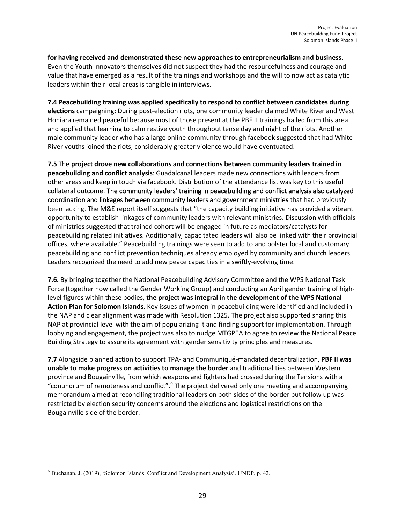**for having received and demonstrated these new approaches to entrepreneurialism and business**. Even the Youth Innovators themselves did not suspect they had the resourcefulness and courage and value that have emerged as a result of the trainings and workshops and the will to now act as catalytic leaders within their local areas is tangible in interviews.

**7.4 Peacebuilding training was applied specifically to respond to conflict between candidates during elections** campaigning: During post-election riots, one community leader claimed White River and West Honiara remained peaceful because most of those present at the PBF II trainings hailed from this area and applied that learning to calm restive youth throughout tense day and night of the riots. Another male community leader who has a large online community through facebook suggested that had White River youths joined the riots, considerably greater violence would have eventuated.

**7.5** The **project drove new collaborations and connections between community leaders trained in peacebuilding and conflict analysis**: Guadalcanal leaders made new connections with leaders from other areas and keep in touch via facebook. Distribution of the attendance list was key to this useful collateral outcome. The community leaders' training in peacebuilding and conflict analysis also catalyzed coordination and linkages between community leaders and government ministries that had previously been lacking. The M&E report itself suggests that "the capacity building initiative has provided a vibrant opportunity to establish linkages of community leaders with relevant ministries. Discussion with officials of ministries suggested that trained cohort will be engaged in future as mediators/catalysts for peacebuilding related initiatives. Additionally, capacitated leaders will also be linked with their provincial offices, where available." Peacebuilding trainings were seen to add to and bolster local and customary peacebuilding and conflict prevention techniques already employed by community and church leaders. Leaders recognized the need to add new peace capacities in a swiftly-evolving time.

**7.6.** By bringing together the National Peacebuilding Advisory Committee and the WPS National Task Force (together now called the Gender Working Group) and conducting an April gender training of highlevel figures within these bodies, **the project was integral in the development of the WPS National Action Plan for Solomon Islands**. Key issues of women in peacebuilding were identified and included in the NAP and clear alignment was made with Resolution 1325. The project also supported sharing this NAP at provincial level with the aim of popularizing it and finding support for implementation. Through lobbying and engagement, the project was also to nudge MTGPEA to agree to review the National Peace Building Strategy to assure its agreement with gender sensitivity principles and measures.

**7.7** Alongside planned action to support TPA- and Communiqué-mandated decentralization, **PBF II was unable to make progress on activities to manage the border** and traditional ties between Western province and Bougainville, from which weapons and fighters had crossed during the Tensions with a "conundrum of remoteness and conflict". <sup>9</sup> The project delivered only one meeting and accompanying memorandum aimed at reconciling traditional leaders on both sides of the border but follow up was restricted by election security concerns around the elections and logistical restrictions on the Bougainville side of the border.

 $\overline{\phantom{a}}$ 

<sup>9</sup> Buchanan, J. (2019), 'Solomon Islands: Conflict and Development Analysis'. UNDP, p. 42.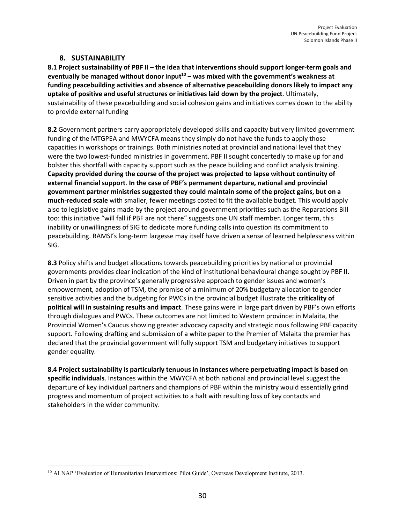## **8. SUSTAINABILITY**

**8.1 Project sustainability of PBF II – the idea that interventions should support longer-term goals and**  eventually be managed without donor input<sup>10</sup> – was mixed with the government's weakness at **funding peacebuilding activities and absence of alternative peacebuilding donors likely to impact any uptake of positive and useful structures or initiatives laid down by the project**. Ultimately, sustainability of these peacebuilding and social cohesion gains and initiatives comes down to the ability to provide external funding

**8.2** Government partners carry appropriately developed skills and capacity but very limited government funding of the MTGPEA and MWYCFA means they simply do not have the funds to apply those capacities in workshops or trainings. Both ministries noted at provincial and national level that they were the two lowest-funded ministries in government. PBF II sought concertedly to make up for and bolster this shortfall with capacity support such as the peace building and conflict analysis training. **Capacity provided during the course of the project was projected to lapse without continuity of external financial support**. **In the case of PBF's permanent departure, national and provincial government partner ministries suggested they could maintain some of the project gains, but on a much-reduced scale** with smaller, fewer meetings costed to fit the available budget. This would apply also to legislative gains made by the project around government priorities such as the Reparations Bill too: this initiative "will fall if PBF are not there" suggests one UN staff member. Longer term, this inability or unwillingness of SIG to dedicate more funding calls into question its commitment to peacebuilding. RAMSI's long-term largesse may itself have driven a sense of learned helplessness within SIG.

**8.3** Policy shifts and budget allocations towards peacebuilding priorities by national or provincial governments provides clear indication of the kind of institutional behavioural change sought by PBF II. Driven in part by the province's generally progressive approach to gender issues and women's empowerment, adoption of TSM, the promise of a minimum of 20% budgetary allocation to gender sensitive activities and the budgeting for PWCs in the provincial budget illustrate the **criticality of political will in sustaining results and impact**. These gains were in large part driven by PBF's own efforts through dialogues and PWCs. These outcomes are not limited to Western province: in Malaita, the Provincial Women's Caucus showing greater advocacy capacity and strategic nous following PBF capacity support. Following drafting and submission of a white paper to the Premier of Malaita the premier has declared that the provincial government will fully support TSM and budgetary initiatives to support gender equality.

**8.4 Project sustainability is particularly tenuous in instances where perpetuating impact is based on specific individuals**. Instances within the MWYCFA at both national and provincial level suggest the departure of key individual partners and champions of PBF within the ministry would essentially grind progress and momentum of project activities to a halt with resulting loss of key contacts and stakeholders in the wider community.

 $\overline{\phantom{a}}$ <sup>10</sup> ALNAP 'Evaluation of Humanitarian Interventions: Pilot Guide', Overseas Development Institute, 2013.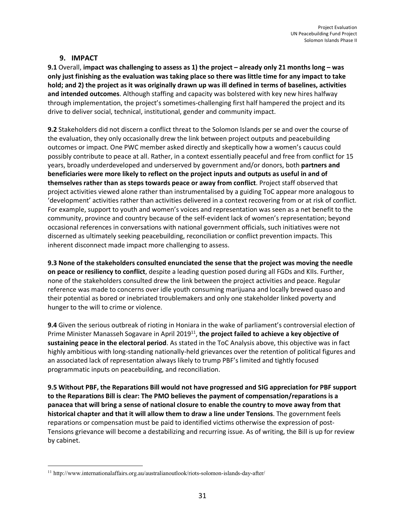## **9. IMPACT**

**9.1** Overall, **impact was challenging to assess as 1) the project – already only 21 months long – was only just finishing as the evaluation was taking place so there was little time for any impact to take hold; and 2) the project as it was originally drawn up was ill defined in terms of baselines, activities and intended outcomes**. Although staffing and capacity was bolstered with key new hires halfway through implementation, the project's sometimes-challenging first half hampered the project and its drive to deliver social, technical, institutional, gender and community impact.

**9.2** Stakeholders did not discern a conflict threat to the Solomon Islands per se and over the course of the evaluation, they only occasionally drew the link between project outputs and peacebuilding outcomes or impact. One PWC member asked directly and skeptically how a women's caucus could possibly contribute to peace at all. Rather, in a context essentially peaceful and free from conflict for 15 years, broadly underdeveloped and underserved by government and/or donors, both **partners and beneficiaries were more likely to reflect on the project inputs and outputs as useful in and of themselves rather than as steps towards peace or away from conflict**. Project staff observed that project activities viewed alone rather than instrumentalised by a guiding ToC appear more analogous to 'development' activities rather than activities delivered in a context recovering from or at risk of conflict. For example, support to youth and women's voices and representation was seen as a net benefit to the community, province and country because of the self-evident lack of women's representation; beyond occasional references in conversations with national government officials, such initiatives were not discerned as ultimately seeking peacebuilding, reconciliation or conflict prevention impacts. This inherent disconnect made impact more challenging to assess.

**9.3 None of the stakeholders consulted enunciated the sense that the project was moving the needle on peace or resiliency to conflict**, despite a leading question posed during all FGDs and KIIs. Further, none of the stakeholders consulted drew the link between the project activities and peace. Regular reference was made to concerns over idle youth consuming marijuana and locally brewed quaso and their potential as bored or inebriated troublemakers and only one stakeholder linked poverty and hunger to the will to crime or violence.

**9.4** Given the serious outbreak of rioting in Honiara in the wake of parliament's controversial election of Prime Minister Manasseh Sogavare in April 2019<sup>11</sup>, the project failed to achieve a key objective of **sustaining peace in the electoral period**. As stated in the ToC Analysis above, this objective was in fact highly ambitious with long-standing nationally-held grievances over the retention of political figures and an associated lack of representation always likely to trump PBF's limited and tightly focused programmatic inputs on peacebuilding, and reconciliation.

**9.5 Without PBF, the Reparations Bill would not have progressed and SIG appreciation for PBF support to the Reparations Bill is clear: The PMO believes the payment of compensation/reparations is a panacea that will bring a sense of national closure to enable the country to move away from that historical chapter and that it will allow them to draw a line under Tensions**. The government feels reparations or compensation must be paid to identified victims otherwise the expression of post-Tensions grievance will become a destabilizing and recurring issue. As of writing, the Bill is up for review by cabinet.

 $\overline{\phantom{a}}$ 

<sup>11</sup> http://www.internationalaffairs.org.au/australianoutlook/riots-solomon-islands-day-after/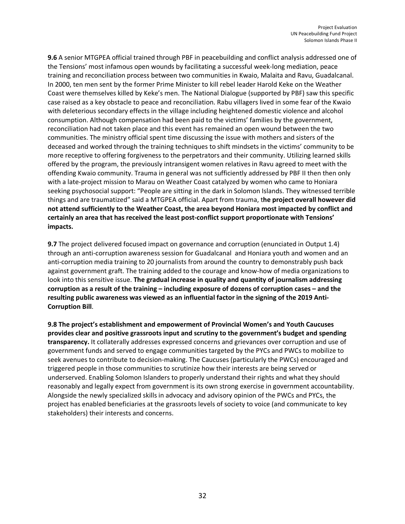**9.6** A senior MTGPEA official trained through PBF in peacebuilding and conflict analysis addressed one of the Tensions' most infamous open wounds by facilitating a successful week-long mediation, peace training and reconciliation process between two communities in Kwaio, Malaita and Ravu, Guadalcanal. In 2000, ten men sent by the former Prime Minister to kill rebel leader Harold Keke on the Weather Coast were themselves killed by Keke's men. The National Dialogue (supported by PBF) saw this specific case raised as a key obstacle to peace and reconciliation. Rabu villagers lived in some fear of the Kwaio with deleterious secondary effects in the village including heightened domestic violence and alcohol consumption. Although compensation had been paid to the victims' families by the government, reconciliation had not taken place and this event has remained an open wound between the two communities. The ministry official spent time discussing the issue with mothers and sisters of the deceased and worked through the training techniques to shift mindsets in the victims' community to be more receptive to offering forgiveness to the perpetrators and their community. Utilizing learned skills offered by the program, the previously intransigent women relatives in Ravu agreed to meet with the offending Kwaio community. Trauma in general was not sufficiently addressed by PBF II then then only with a late-project mission to Marau on Weather Coast catalyzed by women who came to Honiara seeking psychosocial support: "People are sitting in the dark in Solomon Islands. They witnessed terrible things and are traumatized" said a MTGPEA official. Apart from trauma, t**he project overall however did not attend sufficiently to the Weather Coast, the area beyond Honiara most impacted by conflict and certainly an area that has received the least post-conflict support proportionate with Tensions' impacts.**

**9.7** The project delivered focused impact on governance and corruption (enunciated in Output 1.4) through an anti-corruption awareness session for Guadalcanal and Honiara youth and women and an anti-corruption media training to 20 journalists from around the country to demonstrably push back against government graft. The training added to the courage and know-how of media organizations to look into this sensitive issue. **The gradual increase in quality and quantity of journalism addressing corruption as a result of the training – including exposure of dozens of corruption cases – and the resulting public awareness was viewed as an influential factor in the signing of the 2019 Anti-Corruption Bill**.

**9.8 The project's establishment and empowerment of Provincial Women's and Youth Caucuses provides clear and positive grassroots input and scrutiny to the government's budget and spending transparency.** It collaterally addresses expressed concerns and grievances over corruption and use of government funds and served to engage communities targeted by the PYCs and PWCs to mobilize to seek avenues to contribute to decision-making. The Caucuses (particularly the PWCs) encouraged and triggered people in those communities to scrutinize how their interests are being served or underserved. Enabling Solomon Islanders to properly understand their rights and what they should reasonably and legally expect from government is its own strong exercise in government accountability. Alongside the newly specialized skills in advocacy and advisory opinion of the PWCs and PYCs, the project has enabled beneficiaries at the grassroots levels of society to voice (and communicate to key stakeholders) their interests and concerns.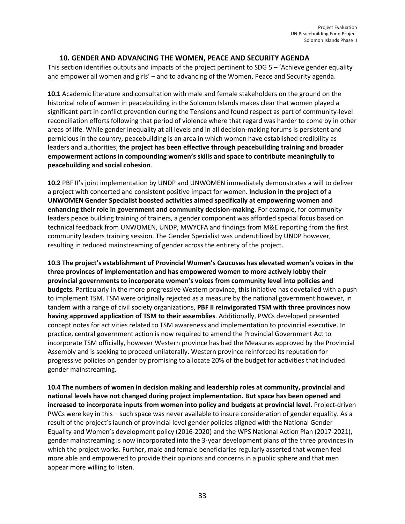## **10. GENDER AND ADVANCING THE WOMEN, PEACE AND SECURITY AGENDA**

This section identifies outputs and impacts of the project pertinent to SDG 5 – 'Achieve gender equality and empower all women and girls' – and to advancing of the Women, Peace and Security agenda.

**10.1** Academic literature and consultation with male and female stakeholders on the ground on the historical role of women in peacebuilding in the Solomon Islands makes clear that women played a significant part in conflict prevention during the Tensions and found respect as part of community-level reconciliation efforts following that period of violence where that regard was harder to come by in other areas of life. While gender inequality at all levels and in all decision-making forums is persistent and pernicious in the country, peacebuilding is an area in which women have established credibility as leaders and authorities; **the project has been effective through peacebuilding training and broader empowerment actions in compounding women's skills and space to contribute meaningfully to peacebuilding and social cohesion**.

**10.2** PBF II's joint implementation by UNDP and UNWOMEN immediately demonstrates a will to deliver a project with concerted and consistent positive impact for women. **Inclusion in the project of a UNWOMEN Gender Specialist boosted activities aimed specifically at empowering women and enhancing their role in government and community decision-making**. For example, for community leaders peace building training of trainers, a gender component was afforded special focus based on technical feedback from UNWOMEN, UNDP, MWYCFA and findings from M&E reporting from the first community leaders training session. The Gender Specialist was underutilized by UNDP however, resulting in reduced mainstreaming of gender across the entirety of the project.

**10.3 The project's establishment of Provincial Women's Caucuses has elevated women's voices in the three provinces of implementation and has empowered women to more actively lobby their provincial governments to incorporate women's voices from community level into policies and budgets**. Particularly in the more progressive Western province, this initiative has dovetailed with a push to implement TSM. TSM were originally rejected as a measure by the national government however, in tandem with a range of civil society organizations, **PBF II reinvigorated TSM with three provinces now having approved application of TSM to their assemblies**. Additionally, PWCs developed presented concept notes for activities related to TSM awareness and implementation to provincial executive. In practice, central government action is now required to amend the Provincial Government Act to incorporate TSM officially, however Western province has had the Measures approved by the Provincial Assembly and is seeking to proceed unilaterally. Western province reinforced its reputation for progressive policies on gender by promising to allocate 20% of the budget for activities that included gender mainstreaming.

**10.4 The numbers of women in decision making and leadership roles at community, provincial and national levels have not changed during project implementation. But space has been opened and increased to incorporate inputs from women into policy and budgets at provincial level**. Project-driven PWCs were key in this – such space was never available to insure consideration of gender equality. As a result of the project's launch of provincial level gender policies aligned with the National Gender Equality and Women's development policy (2016-2020) and the WPS National Action Plan (2017-2021), gender mainstreaming is now incorporated into the 3-year development plans of the three provinces in which the project works. Further, male and female beneficiaries regularly asserted that women feel more able and empowered to provide their opinions and concerns in a public sphere and that men appear more willing to listen.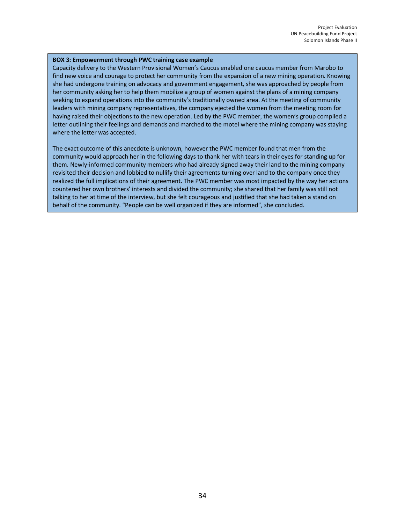#### **BOX 3: Empowerment through PWC training case example**

Capacity delivery to the Western Provisional Women's Caucus enabled one caucus member from Marobo to find new voice and courage to protect her community from the expansion of a new mining operation. Knowing she had undergone training on advocacy and government engagement, she was approached by people from her community asking her to help them mobilize a group of women against the plans of a mining company seeking to expand operations into the community's traditionally owned area. At the meeting of community leaders with mining company representatives, the company ejected the women from the meeting room for having raised their objections to the new operation. Led by the PWC member, the women's group compiled a letter outlining their feelings and demands and marched to the motel where the mining company was staying where the letter was accepted.

The exact outcome of this anecdote is unknown, however the PWC member found that men from the community would approach her in the following days to thank her with tears in their eyes for standing up for them. Newly-informed community members who had already signed away their land to the mining company revisited their decision and lobbied to nullify their agreements turning over land to the company once they realized the full implications of their agreement. The PWC member was most impacted by the way her actions countered her own brothers' interests and divided the community; she shared that her family was still not talking to her at time of the interview, but she felt courageous and justified that she had taken a stand on behalf of the community. "People can be well organized if they are informed", she concluded.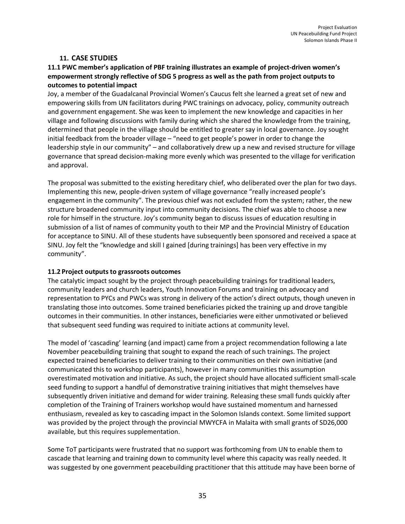## **11. CASE STUDIES**

## **11.1 PWC member's application of PBF training illustrates an example of project-driven women's empowerment strongly reflective of SDG 5 progress as well as the path from project outputs to outcomes to potential impact**

Joy, a member of the Guadalcanal Provincial Women's Caucus felt she learned a great set of new and empowering skills from UN facilitators during PWC trainings on advocacy, policy, community outreach and government engagement. She was keen to implement the new knowledge and capacities in her village and following discussions with family during which she shared the knowledge from the training, determined that people in the village should be entitled to greater say in local governance. Joy sought initial feedback from the broader village – "need to get people's power in order to change the leadership style in our community" – and collaboratively drew up a new and revised structure for village governance that spread decision-making more evenly which was presented to the village for verification and approval.

The proposal was submitted to the existing hereditary chief, who deliberated over the plan for two days. Implementing this new, people-driven system of village governance "really increased people's engagement in the community". The previous chief was not excluded from the system; rather, the new structure broadened community input into community decisions. The chief was able to choose a new role for himself in the structure. Joy's community began to discuss issues of education resulting in submission of a list of names of community youth to their MP and the Provincial Ministry of Education for acceptance to SINU. All of these students have subsequently been sponsored and received a space at SINU. Joy felt the "knowledge and skill I gained [during trainings] has been very effective in my community".

## **11.2 Project outputs to grassroots outcomes**

The catalytic impact sought by the project through peacebuilding trainings for traditional leaders, community leaders and church leaders, Youth Innovation Forums and training on advocacy and representation to PYCs and PWCs was strong in delivery of the action's direct outputs, though uneven in translating those into outcomes. Some trained beneficiaries picked the training up and drove tangible outcomes in their communities. In other instances, beneficiaries were either unmotivated or believed that subsequent seed funding was required to initiate actions at community level.

The model of 'cascading' learning (and impact) came from a project recommendation following a late November peacebuilding training that sought to expand the reach of such trainings. The project expected trained beneficiaries to deliver training to their communities on their own initiative (and communicated this to workshop participants), however in many communities this assumption overestimated motivation and initiative. As such, the project should have allocated sufficient small-scale seed funding to support a handful of demonstrative training initiatives that might themselves have subsequently driven initiative and demand for wider training. Releasing these small funds quickly after completion of the Training of Trainers workshop would have sustained momentum and harnessed enthusiasm, revealed as key to cascading impact in the Solomon Islands context. Some limited support was provided by the project through the provincial MWYCFA in Malaita with small grants of SD26,000 available, but this requires supplementation.

Some ToT participants were frustrated that no support was forthcoming from UN to enable them to cascade that learning and training down to community level where this capacity was really needed. It was suggested by one government peacebuilding practitioner that this attitude may have been borne of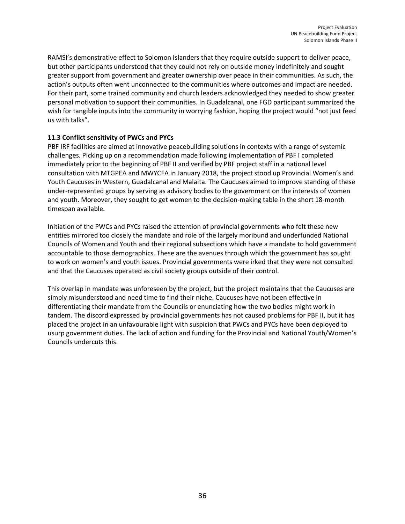RAMSI's demonstrative effect to Solomon Islanders that they require outside support to deliver peace, but other participants understood that they could not rely on outside money indefinitely and sought greater support from government and greater ownership over peace in their communities. As such, the action's outputs often went unconnected to the communities where outcomes and impact are needed. For their part, some trained community and church leaders acknowledged they needed to show greater personal motivation to support their communities. In Guadalcanal, one FGD participant summarized the wish for tangible inputs into the community in worrying fashion, hoping the project would "not just feed us with talks".

## **11.3 Conflict sensitivity of PWCs and PYCs**

PBF IRF facilities are aimed at innovative peacebuilding solutions in contexts with a range of systemic challenges. Picking up on a recommendation made following implementation of PBF I completed immediately prior to the beginning of PBF II and verified by PBF project staff in a national level consultation with MTGPEA and MWYCFA in January 2018, the project stood up Provincial Women's and Youth Caucuses in Western, Guadalcanal and Malaita. The Caucuses aimed to improve standing of these under-represented groups by serving as advisory bodies to the government on the interests of women and youth. Moreover, they sought to get women to the decision-making table in the short 18-month timespan available.

Initiation of the PWCs and PYCs raised the attention of provincial governments who felt these new entities mirrored too closely the mandate and role of the largely moribund and underfunded National Councils of Women and Youth and their regional subsections which have a mandate to hold government accountable to those demographics. These are the avenues through which the government has sought to work on women's and youth issues. Provincial governments were irked that they were not consulted and that the Caucuses operated as civil society groups outside of their control.

This overlap in mandate was unforeseen by the project, but the project maintains that the Caucuses are simply misunderstood and need time to find their niche. Caucuses have not been effective in differentiating their mandate from the Councils or enunciating how the two bodies might work in tandem. The discord expressed by provincial governments has not caused problems for PBF II, but it has placed the project in an unfavourable light with suspicion that PWCs and PYCs have been deployed to usurp government duties. The lack of action and funding for the Provincial and National Youth/Women's Councils undercuts this.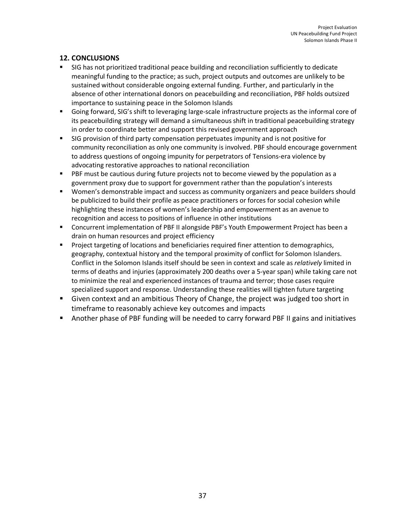# **12. CONCLUSIONS**

- SIG has not prioritized traditional peace building and reconciliation sufficiently to dedicate meaningful funding to the practice; as such, project outputs and outcomes are unlikely to be sustained without considerable ongoing external funding. Further, and particularly in the absence of other international donors on peacebuilding and reconciliation, PBF holds outsized importance to sustaining peace in the Solomon Islands
- § Going forward, SIG's shift to leveraging large-scale infrastructure projects as the informal core of its peacebuilding strategy will demand a simultaneous shift in traditional peacebuilding strategy in order to coordinate better and support this revised government approach
- SIG provision of third party compensation perpetuates impunity and is not positive for community reconciliation as only one community is involved. PBF should encourage government to address questions of ongoing impunity for perpetrators of Tensions-era violence by advocating restorative approaches to national reconciliation
- PBF must be cautious during future projects not to become viewed by the population as a government proxy due to support for government rather than the population's interests
- Women's demonstrable impact and success as community organizers and peace builders should be publicized to build their profile as peace practitioners or forces for social cohesion while highlighting these instances of women's leadership and empowerment as an avenue to recognition and access to positions of influence in other institutions
- Concurrent implementation of PBF II alongside PBF's Youth Empowerment Project has been a drain on human resources and project efficiency
- Project targeting of locations and beneficiaries required finer attention to demographics, geography, contextual history and the temporal proximity of conflict for Solomon Islanders. Conflict in the Solomon Islands itself should be seen in context and scale as *relatively* limited in terms of deaths and injuries (approximately 200 deaths over a 5-year span) while taking care not to minimize the real and experienced instances of trauma and terror; those cases require specialized support and response. Understanding these realities will tighten future targeting
- Given context and an ambitious Theory of Change, the project was judged too short in timeframe to reasonably achieve key outcomes and impacts
- Another phase of PBF funding will be needed to carry forward PBF II gains and initiatives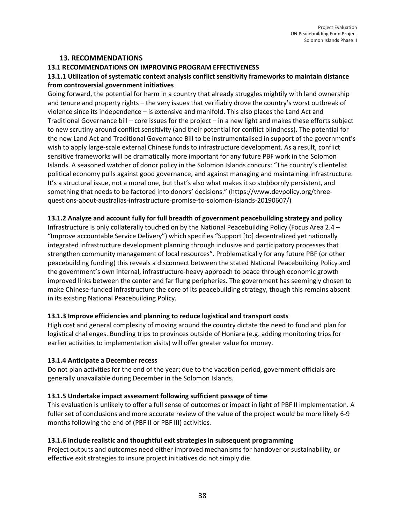#### **13. RECOMMENDATIONS**

## **13.1 RECOMMENDATIONS ON IMPROVING PROGRAM EFFECTIVENESS**

## **13.1.1 Utilization of systematic context analysis conflict sensitivity frameworks to maintain distance from controversial government initiatives**

Going forward, the potential for harm in a country that already struggles mightily with land ownership and tenure and property rights – the very issues that verifiably drove the country's worst outbreak of violence since its independence – is extensive and manifold. This also places the Land Act and Traditional Governance bill – core issues for the project – in a new light and makes these efforts subject to new scrutiny around conflict sensitivity (and their potential for conflict blindness). The potential for the new Land Act and Traditional Governance Bill to be instrumentalised in support of the government's wish to apply large-scale external Chinese funds to infrastructure development. As a result, conflict sensitive frameworks will be dramatically more important for any future PBF work in the Solomon Islands. A seasoned watcher of donor policy in the Solomon Islands concurs: "The country's clientelist political economy pulls against good governance, and against managing and maintaining infrastructure. It's a structural issue, not a moral one, but that's also what makes it so stubbornly persistent, and something that needs to be factored into donors' decisions." (https://www.devpolicy.org/threequestions-about-australias-infrastructure-promise-to-solomon-islands-20190607/)

## **13.1.2 Analyze and account fully for full breadth of government peacebuilding strategy and policy**

Infrastructure is only collaterally touched on by the National Peacebuilding Policy (Focus Area 2.4 – "Improve accountable Service Delivery") which specifies "Support [to] decentralized yet nationally integrated infrastructure development planning through inclusive and participatory processes that strengthen community management of local resources". Problematically for any future PBF (or other peacebuilding funding) this reveals a disconnect between the stated National Peacebuilding Policy and the government's own internal, infrastructure-heavy approach to peace through economic growth improved links between the center and far flung peripheries. The government has seemingly chosen to make Chinese-funded infrastructure the core of its peacebuilding strategy, though this remains absent in its existing National Peacebuilding Policy.

#### **13.1.3 Improve efficiencies and planning to reduce logistical and transport costs**

High cost and general complexity of moving around the country dictate the need to fund and plan for logistical challenges. Bundling trips to provinces outside of Honiara (e.g. adding monitoring trips for earlier activities to implementation visits) will offer greater value for money.

#### **13.1.4 Anticipate a December recess**

Do not plan activities for the end of the year; due to the vacation period, government officials are generally unavailable during December in the Solomon Islands.

#### **13.1.5 Undertake impact assessment following sufficient passage of time**

This evaluation is unlikely to offer a full sense of outcomes or impact in light of PBF II implementation. A fuller set of conclusions and more accurate review of the value of the project would be more likely 6-9 months following the end of (PBF II or PBF III) activities.

## **13.1.6 Include realistic and thoughtful exit strategies in subsequent programming**

Project outputs and outcomes need either improved mechanisms for handover or sustainability, or effective exit strategies to insure project initiatives do not simply die.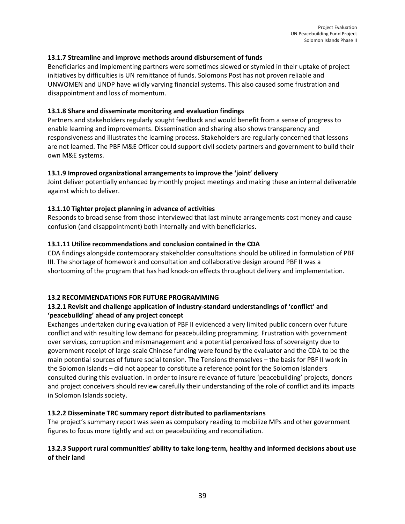#### **13.1.7 Streamline and improve methods around disbursement of funds**

Beneficiaries and implementing partners were sometimes slowed or stymied in their uptake of project initiatives by difficulties is UN remittance of funds. Solomons Post has not proven reliable and UNWOMEN and UNDP have wildly varying financial systems. This also caused some frustration and disappointment and loss of momentum.

#### **13.1.8 Share and disseminate monitoring and evaluation findings**

Partners and stakeholders regularly sought feedback and would benefit from a sense of progress to enable learning and improvements. Dissemination and sharing also shows transparency and responsiveness and illustrates the learning process. Stakeholders are regularly concerned that lessons are not learned. The PBF M&E Officer could support civil society partners and government to build their own M&E systems.

#### **13.1.9 Improved organizational arrangements to improve the 'joint' delivery**

Joint deliver potentially enhanced by monthly project meetings and making these an internal deliverable against which to deliver.

## **13.1.10 Tighter project planning in advance of activities**

Responds to broad sense from those interviewed that last minute arrangements cost money and cause confusion (and disappointment) both internally and with beneficiaries.

## **13.1.11 Utilize recommendations and conclusion contained in the CDA**

CDA findings alongside contemporary stakeholder consultations should be utilized in formulation of PBF III. The shortage of homework and consultation and collaborative design around PBF II was a shortcoming of the program that has had knock-on effects throughout delivery and implementation.

#### **13.2 RECOMMENDATIONS FOR FUTURE PROGRAMMING**

## **13.2.1 Revisit and challenge application of industry-standard understandings of 'conflict' and 'peacebuilding' ahead of any project concept**

Exchanges undertaken during evaluation of PBF II evidenced a very limited public concern over future conflict and with resulting low demand for peacebuilding programming. Frustration with government over services, corruption and mismanagement and a potential perceived loss of sovereignty due to government receipt of large-scale Chinese funding were found by the evaluator and the CDA to be the main potential sources of future social tension. The Tensions themselves – the basis for PBF II work in the Solomon Islands – did not appear to constitute a reference point for the Solomon Islanders consulted during this evaluation. In order to insure relevance of future 'peacebuilding' projects, donors and project conceivers should review carefully their understanding of the role of conflict and its impacts in Solomon Islands society.

## **13.2.2 Disseminate TRC summary report distributed to parliamentarians**

The project's summary report was seen as compulsory reading to mobilize MPs and other government figures to focus more tightly and act on peacebuilding and reconciliation.

## **13.2.3 Support rural communities' ability to take long-term, healthy and informed decisions about use of their land**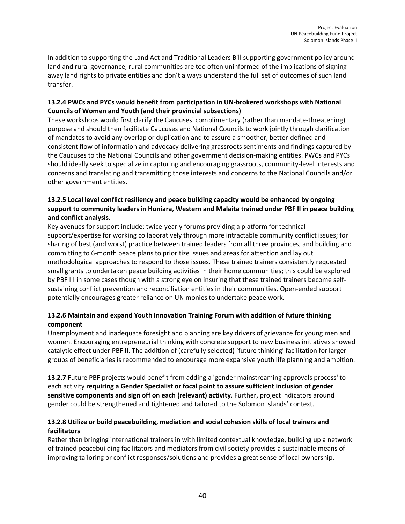In addition to supporting the Land Act and Traditional Leaders Bill supporting government policy around land and rural governance, rural communities are too often uninformed of the implications of signing away land rights to private entities and don't always understand the full set of outcomes of such land transfer.

## **13.2.4 PWCs and PYCs would benefit from participation in UN-brokered workshops with National Councils of Women and Youth (and their provincial subsections)**

These workshops would first clarify the Caucuses' complimentary (rather than mandate-threatening) purpose and should then facilitate Caucuses and National Councils to work jointly through clarification of mandates to avoid any overlap or duplication and to assure a smoother, better-defined and consistent flow of information and advocacy delivering grassroots sentiments and findings captured by the Caucuses to the National Councils and other government decision-making entities. PWCs and PYCs should ideally seek to specialize in capturing and encouraging grassroots, community-level interests and concerns and translating and transmitting those interests and concerns to the National Councils and/or other government entities.

## **13.2.5 Local level conflict resiliency and peace building capacity would be enhanced by ongoing support to community leaders in Honiara, Western and Malaita trained under PBF II in peace building and conflict analysis**.

Key avenues for support include: twice-yearly forums providing a platform for technical support/expertise for working collaboratively through more intractable community conflict issues; for sharing of best (and worst) practice between trained leaders from all three provinces; and building and committing to 6-month peace plans to prioritize issues and areas for attention and lay out methodological approaches to respond to those issues. These trained trainers consistently requested small grants to undertaken peace building activities in their home communities; this could be explored by PBF III in some cases though with a strong eye on insuring that these trained trainers become selfsustaining conflict prevention and reconciliation entities in their communities. Open-ended support potentially encourages greater reliance on UN monies to undertake peace work.

## **13.2.6 Maintain and expand Youth Innovation Training Forum with addition of future thinking component**

Unemployment and inadequate foresight and planning are key drivers of grievance for young men and women. Encouraging entrepreneurial thinking with concrete support to new business initiatives showed catalytic effect under PBF II. The addition of (carefully selected) 'future thinking' facilitation for larger groups of beneficiaries is recommended to encourage more expansive youth life planning and ambition.

**13.2.7** Future PBF projects would benefit from adding a 'gender mainstreaming approvals process' to each activity **requiring a Gender Specialist or focal point to assure sufficient inclusion of gender sensitive components and sign off on each (relevant) activity**. Further, project indicators around gender could be strengthened and tightened and tailored to the Solomon Islands' context.

## **13.2.8 Utilize or build peacebuilding, mediation and social cohesion skills of local trainers and facilitators**

Rather than bringing international trainers in with limited contextual knowledge, building up a network of trained peacebuilding facilitators and mediators from civil society provides a sustainable means of improving tailoring or conflict responses/solutions and provides a great sense of local ownership.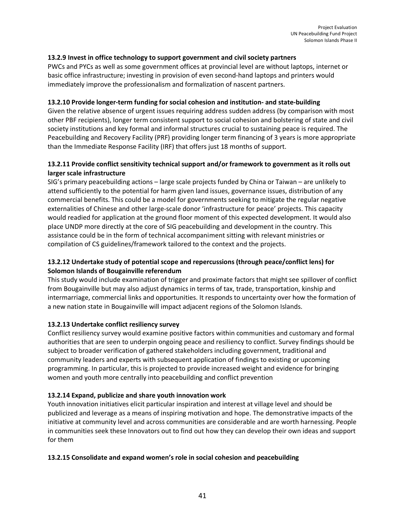## **13.2.9 Invest in office technology to support government and civil society partners**

PWCs and PYCs as well as some government offices at provincial level are without laptops, internet or basic office infrastructure; investing in provision of even second-hand laptops and printers would immediately improve the professionalism and formalization of nascent partners.

#### **13.2.10 Provide longer-term funding for social cohesion and institution- and state-building**

Given the relative absence of urgent issues requiring address sudden address (by comparison with most other PBF recipients), longer term consistent support to social cohesion and bolstering of state and civil society institutions and key formal and informal structures crucial to sustaining peace is required. The Peacebuilding and Recovery Facility (PRF) providing longer term financing of 3 years is more appropriate than the Immediate Response Facility (IRF) that offers just 18 months of support.

## **13.2.11 Provide conflict sensitivity technical support and/or framework to government as it rolls out larger scale infrastructure**

SIG's primary peacebuilding actions – large scale projects funded by China or Taiwan – are unlikely to attend sufficiently to the potential for harm given land issues, governance issues, distribution of any commercial benefits. This could be a model for governments seeking to mitigate the regular negative externalities of Chinese and other large-scale donor 'infrastructure for peace' projects. This capacity would readied for application at the ground floor moment of this expected development. It would also place UNDP more directly at the core of SIG peacebuilding and development in the country. This assistance could be in the form of technical accompaniment sitting with relevant ministries or compilation of CS guidelines/framework tailored to the context and the projects.

## **13.2.12 Undertake study of potential scope and repercussions (through peace/conflict lens) for Solomon Islands of Bougainville referendum**

This study would include examination of trigger and proximate factors that might see spillover of conflict from Bougainville but may also adjust dynamics in terms of tax, trade, transportation, kinship and intermarriage, commercial links and opportunities. It responds to uncertainty over how the formation of a new nation state in Bougainville will impact adjacent regions of the Solomon Islands.

#### **13.2.13 Undertake conflict resiliency survey**

Conflict resiliency survey would examine positive factors within communities and customary and formal authorities that are seen to underpin ongoing peace and resiliency to conflict. Survey findings should be subject to broader verification of gathered stakeholders including government, traditional and community leaders and experts with subsequent application of findings to existing or upcoming programming. In particular, this is projected to provide increased weight and evidence for bringing women and youth more centrally into peacebuilding and conflict prevention

#### **13.2.14 Expand, publicize and share youth innovation work**

Youth innovation initiatives elicit particular inspiration and interest at village level and should be publicized and leverage as a means of inspiring motivation and hope. The demonstrative impacts of the initiative at community level and across communities are considerable and are worth harnessing. People in communities seek these Innovators out to find out how they can develop their own ideas and support for them

#### **13.2.15 Consolidate and expand women's role in social cohesion and peacebuilding**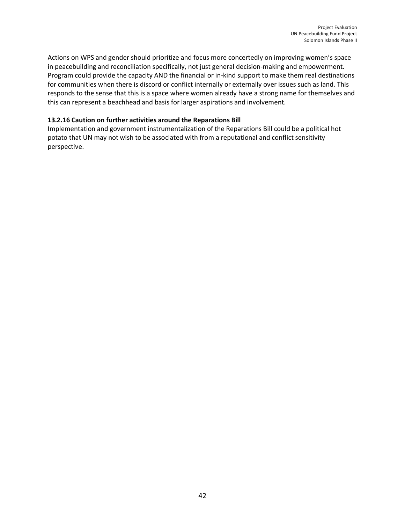Actions on WPS and gender should prioritize and focus more concertedly on improving women's space in peacebuilding and reconciliation specifically, not just general decision-making and empowerment. Program could provide the capacity AND the financial or in-kind support to make them real destinations for communities when there is discord or conflict internally or externally over issues such as land. This responds to the sense that this is a space where women already have a strong name for themselves and this can represent a beachhead and basis for larger aspirations and involvement.

## **13.2.16 Caution on further activities around the Reparations Bill**

Implementation and government instrumentalization of the Reparations Bill could be a political hot potato that UN may not wish to be associated with from a reputational and conflict sensitivity perspective.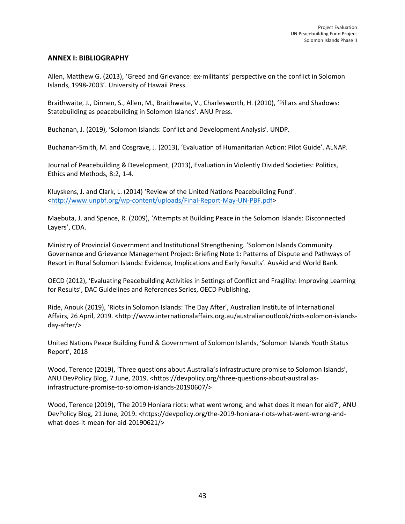#### **ANNEX I: BIBLIOGRAPHY**

Allen, Matthew G. (2013), 'Greed and Grievance: ex-militants' perspective on the conflict in Solomon Islands, 1998-2003'. University of Hawaii Press.

Braithwaite, J., Dinnen, S., Allen, M., Braithwaite, V., Charlesworth, H. (2010), 'Pillars and Shadows: Statebuilding as peacebuilding in Solomon Islands'. ANU Press.

Buchanan, J. (2019), 'Solomon Islands: Conflict and Development Analysis'. UNDP.

Buchanan-Smith, M. and Cosgrave, J. (2013), 'Evaluation of Humanitarian Action: Pilot Guide'. ALNAP.

Journal of Peacebuilding & Development, (2013), Evaluation in Violently Divided Societies: Politics, Ethics and Methods, 8:2, 1-4.

Kluyskens, J. and Clark, L. (2014) 'Review of the United Nations Peacebuilding Fund'. <http://www.unpbf.org/wp-content/uploads/Final-Report-May-UN-PBF.pdf>

Maebuta, J. and Spence, R. (2009), 'Attempts at Building Peace in the Solomon Islands: Disconnected Layers', CDA.

Ministry of Provincial Government and Institutional Strengthening. 'Solomon Islands Community Governance and Grievance Management Project: Briefing Note 1: Patterns of Dispute and Pathways of Resort in Rural Solomon Islands: Evidence, Implications and Early Results'. AusAid and World Bank.

OECD (2012), 'Evaluating Peacebuilding Activities in Settings of Conflict and Fragility: Improving Learning for Results', DAC Guidelines and References Series, OECD Publishing.

Ride, Anouk (2019), 'Riots in Solomon Islands: The Day After', Australian Institute of International Affairs, 26 April, 2019. <http://www.internationalaffairs.org.au/australianoutlook/riots-solomon-islandsday-after/>

United Nations Peace Building Fund & Government of Solomon Islands, 'Solomon Islands Youth Status Report', 2018

Wood, Terence (2019), 'Three questions about Australia's infrastructure promise to Solomon Islands', ANU DevPolicy Blog, 7 June, 2019. <https://devpolicy.org/three-questions-about-australiasinfrastructure-promise-to-solomon-islands-20190607/>

Wood, Terence (2019), 'The 2019 Honiara riots: what went wrong, and what does it mean for aid?', ANU DevPolicy Blog, 21 June, 2019. <https://devpolicy.org/the-2019-honiara-riots-what-went-wrong-andwhat-does-it-mean-for-aid-20190621/>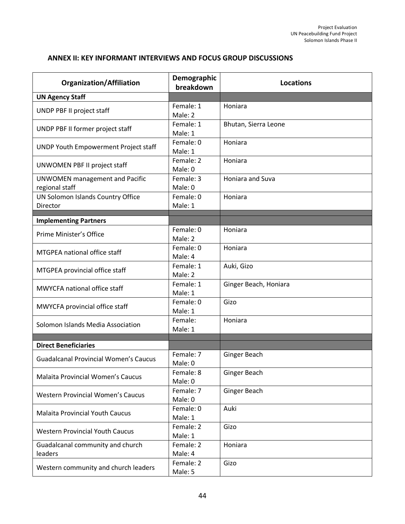# **ANNEX II: KEY INFORMANT INTERVIEWS AND FOCUS GROUP DISCUSSIONS**

| <b>Organization/Affiliation</b>                         | Demographic<br>breakdown | <b>Locations</b>      |
|---------------------------------------------------------|--------------------------|-----------------------|
| <b>UN Agency Staff</b>                                  |                          |                       |
| UNDP PBF II project staff                               | Female: 1<br>Male: 2     | Honiara               |
| UNDP PBF II former project staff                        | Female: 1<br>Male: 1     | Bhutan, Sierra Leone  |
| <b>UNDP Youth Empowerment Project staff</b>             | Female: 0<br>Male: 1     | Honiara               |
| UNWOMEN PBF II project staff                            | Female: 2<br>Male: 0     | Honiara               |
| <b>UNWOMEN</b> management and Pacific<br>regional staff | Female: 3<br>Male: 0     | Honiara and Suva      |
| UN Solomon Islands Country Office<br>Director           | Female: 0<br>Male: 1     | Honiara               |
| <b>Implementing Partners</b>                            |                          |                       |
| Prime Minister's Office                                 | Female: 0<br>Male: 2     | Honiara               |
| MTGPEA national office staff                            | Female: 0<br>Male: 4     | Honiara               |
| MTGPEA provincial office staff                          | Female: 1<br>Male: 2     | Auki, Gizo            |
| MWYCFA national office staff                            | Female: 1<br>Male: 1     | Ginger Beach, Honiara |
| MWYCFA provincial office staff                          | Female: 0<br>Male: 1     | Gizo                  |
| Solomon Islands Media Association                       | Female:<br>Male: 1       | Honiara               |
|                                                         |                          |                       |
| <b>Direct Beneficiaries</b>                             | Female: 7                |                       |
| <b>Guadalcanal Provincial Women's Caucus</b>            | Male: 0                  | Ginger Beach          |
| <b>Malaita Provincial Women's Caucus</b>                | Female: 8<br>Male: 0     | Ginger Beach          |
| <b>Western Provincial Women's Caucus</b>                | Female: 7<br>Male: 0     | Ginger Beach          |
| <b>Malaita Provincial Youth Caucus</b>                  | Female: 0<br>Male: 1     | Auki                  |
| <b>Western Provincial Youth Caucus</b>                  | Female: 2<br>Male: 1     | Gizo                  |
| Guadalcanal community and church<br>leaders             | Female: 2<br>Male: 4     | Honiara               |
| Western community and church leaders                    | Female: 2<br>Male: 5     | Gizo                  |